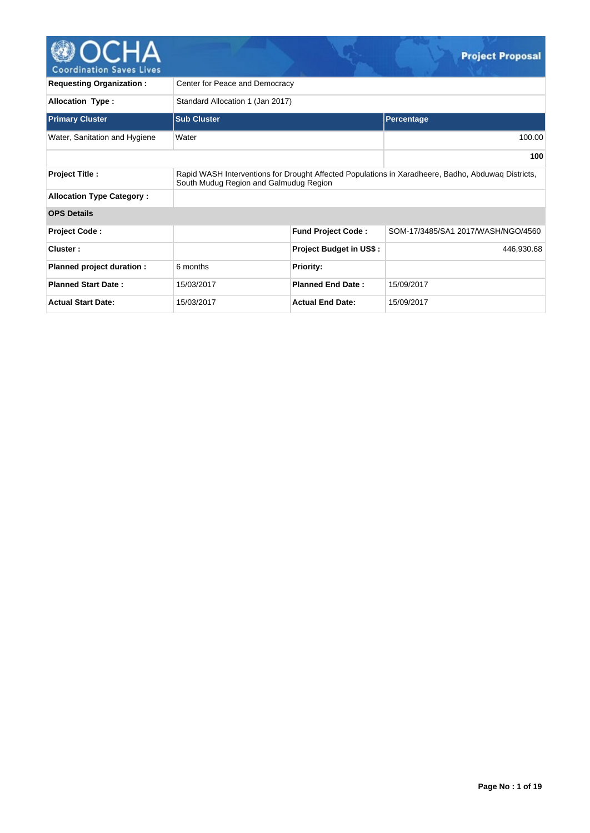

| <b>Requesting Organization:</b>  | Center for Peace and Democracy   |                                                                                                                                              |                                    |  |  |  |  |  |  |  |  |
|----------------------------------|----------------------------------|----------------------------------------------------------------------------------------------------------------------------------------------|------------------------------------|--|--|--|--|--|--|--|--|
| <b>Allocation Type:</b>          | Standard Allocation 1 (Jan 2017) |                                                                                                                                              |                                    |  |  |  |  |  |  |  |  |
| <b>Primary Cluster</b>           | <b>Sub Cluster</b>               |                                                                                                                                              | Percentage                         |  |  |  |  |  |  |  |  |
| Water, Sanitation and Hygiene    | Water                            |                                                                                                                                              | 100.00                             |  |  |  |  |  |  |  |  |
|                                  |                                  |                                                                                                                                              | 100                                |  |  |  |  |  |  |  |  |
| <b>Project Title:</b>            |                                  | Rapid WASH Interventions for Drought Affected Populations in Xaradheere, Badho, Abduwag Districts,<br>South Mudug Region and Galmudug Region |                                    |  |  |  |  |  |  |  |  |
| <b>Allocation Type Category:</b> |                                  |                                                                                                                                              |                                    |  |  |  |  |  |  |  |  |
| <b>OPS Details</b>               |                                  |                                                                                                                                              |                                    |  |  |  |  |  |  |  |  |
| <b>Project Code:</b>             |                                  | <b>Fund Project Code:</b>                                                                                                                    | SOM-17/3485/SA1 2017/WASH/NGO/4560 |  |  |  |  |  |  |  |  |
| Cluster:                         |                                  | Project Budget in US\$:                                                                                                                      | 446,930.68                         |  |  |  |  |  |  |  |  |
| Planned project duration :       | 6 months                         | <b>Priority:</b>                                                                                                                             |                                    |  |  |  |  |  |  |  |  |
| <b>Planned Start Date:</b>       | 15/03/2017                       | <b>Planned End Date:</b>                                                                                                                     | 15/09/2017                         |  |  |  |  |  |  |  |  |
| <b>Actual Start Date:</b>        | 15/03/2017                       | <b>Actual End Date:</b>                                                                                                                      | 15/09/2017                         |  |  |  |  |  |  |  |  |

 $\mathbb{C}$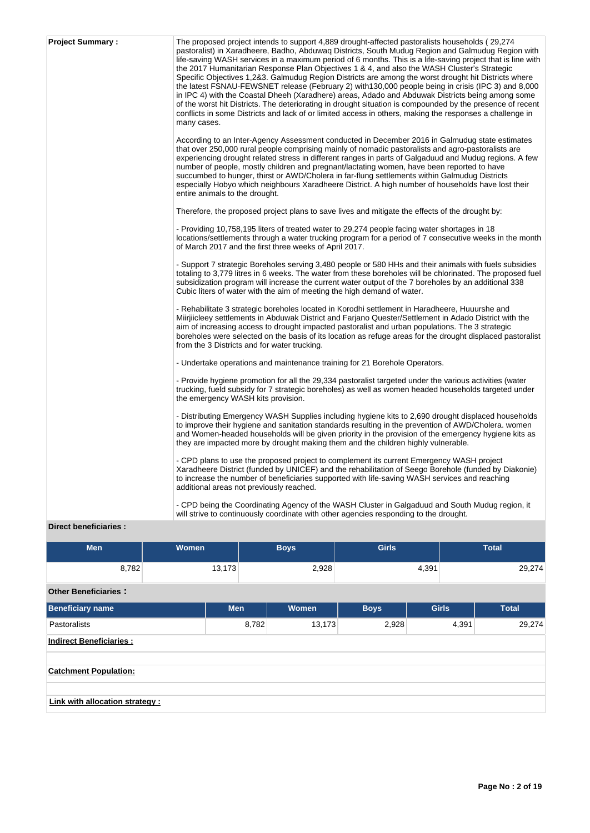| <b>Project Summary:</b> | The proposed project intends to support 4,889 drought-affected pastoralists households (29,274<br>pastoralist) in Xaradheere, Badho, Abduwaq Districts, South Mudug Region and Galmudug Region with<br>life-saving WASH services in a maximum period of 6 months. This is a life-saving project that is line with<br>the 2017 Humanitarian Response Plan Objectives 1 & 4, and also the WASH Cluster's Strategic<br>Specific Objectives 1,2&3. Galmudug Region Districts are among the worst drought hit Districts where<br>the latest FSNAU-FEWSNET release (February 2) with 130,000 people being in crisis (IPC 3) and 8,000<br>in IPC 4) with the Coastal Dheeh (Xaradhere) areas, Adado and Abduwak Districts being among some<br>of the worst hit Districts. The deteriorating in drought situation is compounded by the presence of recent<br>conflicts in some Districts and lack of or limited access in others, making the responses a challenge in<br>many cases. |
|-------------------------|------------------------------------------------------------------------------------------------------------------------------------------------------------------------------------------------------------------------------------------------------------------------------------------------------------------------------------------------------------------------------------------------------------------------------------------------------------------------------------------------------------------------------------------------------------------------------------------------------------------------------------------------------------------------------------------------------------------------------------------------------------------------------------------------------------------------------------------------------------------------------------------------------------------------------------------------------------------------------|
|                         | According to an Inter-Agency Assessment conducted in December 2016 in Galmudug state estimates<br>that over 250,000 rural people comprising mainly of nomadic pastoralists and agro-pastoralists are<br>experiencing drought related stress in different ranges in parts of Galgaduud and Mudug regions. A few<br>number of people, mostly children and pregnant/lactating women, have been reported to have<br>succumbed to hunger, thirst or AWD/Cholera in far-flung settlements within Galmudug Districts<br>especially Hobyo which neighbours Xaradheere District. A high number of households have lost their<br>entire animals to the drought.                                                                                                                                                                                                                                                                                                                        |
|                         | Therefore, the proposed project plans to save lives and mitigate the effects of the drought by:                                                                                                                                                                                                                                                                                                                                                                                                                                                                                                                                                                                                                                                                                                                                                                                                                                                                              |
|                         | - Providing 10,758,195 liters of treated water to 29,274 people facing water shortages in 18<br>locations/settlements through a water trucking program for a period of 7 consecutive weeks in the month<br>of March 2017 and the first three weeks of April 2017.                                                                                                                                                                                                                                                                                                                                                                                                                                                                                                                                                                                                                                                                                                            |
|                         | - Support 7 strategic Boreholes serving 3,480 people or 580 HHs and their animals with fuels subsidies<br>totaling to 3,779 litres in 6 weeks. The water from these boreholes will be chlorinated. The proposed fuel<br>subsidization program will increase the current water output of the 7 boreholes by an additional 338<br>Cubic liters of water with the aim of meeting the high demand of water.                                                                                                                                                                                                                                                                                                                                                                                                                                                                                                                                                                      |
|                         | - Rehabilitate 3 strategic boreholes located in Korodhi settlement in Haradheere, Huuurshe and<br>Miirjiicleey settlements in Abduwak District and Farjano Quester/Settlement in Adado District with the<br>aim of increasing access to drought impacted pastoralist and urban populations. The 3 strategic<br>boreholes were selected on the basis of its location as refuge areas for the drought displaced pastoralist<br>from the 3 Districts and for water trucking.                                                                                                                                                                                                                                                                                                                                                                                                                                                                                                    |
|                         | - Undertake operations and maintenance training for 21 Borehole Operators.                                                                                                                                                                                                                                                                                                                                                                                                                                                                                                                                                                                                                                                                                                                                                                                                                                                                                                   |
|                         | - Provide hygiene promotion for all the 29,334 pastoralist targeted under the various activities (water<br>trucking, fueld subsidy for 7 strategic boreholes) as well as women headed households targeted under<br>the emergency WASH kits provision.                                                                                                                                                                                                                                                                                                                                                                                                                                                                                                                                                                                                                                                                                                                        |
|                         | - Distributing Emergency WASH Supplies including hygiene kits to 2,690 drought displaced households<br>to improve their hygiene and sanitation standards resulting in the prevention of AWD/Cholera. women<br>and Women-headed households will be given priority in the provision of the emergency hygiene kits as<br>they are impacted more by drought making them and the children highly vulnerable.                                                                                                                                                                                                                                                                                                                                                                                                                                                                                                                                                                      |
|                         | - CPD plans to use the proposed project to complement its current Emergency WASH project<br>Xaradheere District (funded by UNICEF) and the rehabilitation of Seego Borehole (funded by Diakonie)<br>to increase the number of beneficiaries supported with life-saving WASH services and reaching<br>additional areas not previously reached.                                                                                                                                                                                                                                                                                                                                                                                                                                                                                                                                                                                                                                |
|                         | - CPD being the Coordinating Agency of the WASH Cluster in Galgaduud and South Mudug region, it<br>will strive to continuously coordinate with other agencies responding to the drought.                                                                                                                                                                                                                                                                                                                                                                                                                                                                                                                                                                                                                                                                                                                                                                                     |

# **Direct beneficiaries :**

| <b>Men</b>                      | Women      | <b>Girls</b><br><b>Boys</b> |        |             |              | <b>Total</b> |              |  |        |
|---------------------------------|------------|-----------------------------|--------|-------------|--------------|--------------|--------------|--|--------|
| 8,782                           | 13,173     |                             | 2,928  |             | 4,391        |              | 29,274       |  |        |
| <b>Other Beneficiaries:</b>     |            |                             |        |             |              |              |              |  |        |
| <b>Beneficiary name</b>         | <b>Men</b> |                             | Women  | <b>Boys</b> | <b>Girls</b> |              | <b>Total</b> |  |        |
| <b>Pastoralists</b>             |            | 8,782                       | 13,173 | 2,928       |              |              | 4,391        |  | 29,274 |
| <b>Indirect Beneficiaries:</b>  |            |                             |        |             |              |              |              |  |        |
|                                 |            |                             |        |             |              |              |              |  |        |
| <b>Catchment Population:</b>    |            |                             |        |             |              |              |              |  |        |
|                                 |            |                             |        |             |              |              |              |  |        |
| Link with allocation strategy : |            |                             |        |             |              |              |              |  |        |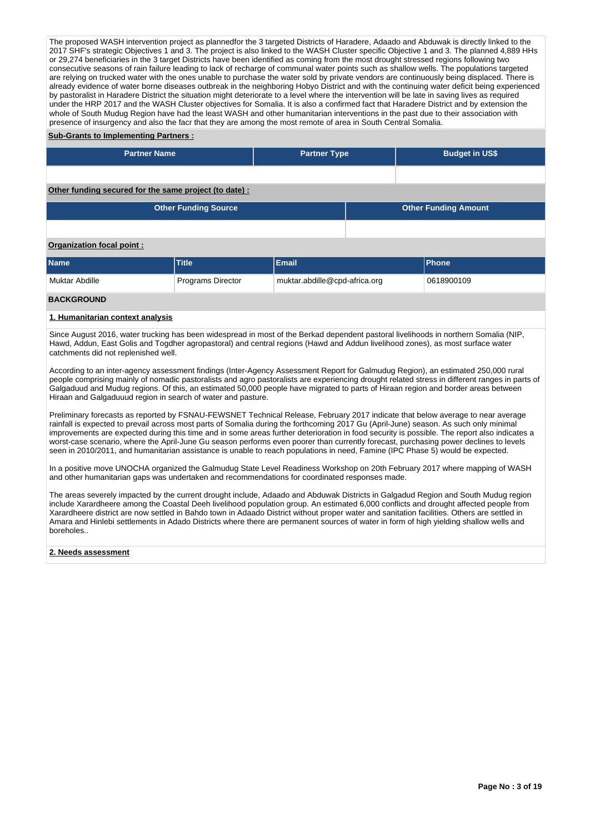The proposed WASH intervention project as plannedfor the 3 targeted Districts of Haradere, Adaado and Abduwak is directly linked to the 2017 SHF's strategic Objectives 1 and 3. The project is also linked to the WASH Cluster specific Objective 1 and 3. The planned 4,889 HHs or 29,274 beneficiaries in the 3 target Districts have been identified as coming from the most drought stressed regions following two consecutive seasons of rain failure leading to lack of recharge of communal water points such as shallow wells. The populations targeted are relying on trucked water with the ones unable to purchase the water sold by private vendors are continuously being displaced. There is already evidence of water borne diseases outbreak in the neighboring Hobyo District and with the continuing water deficit being experienced by pastoralist in Haradere District the situation might deteriorate to a level where the intervention will be late in saving lives as required under the HRP 2017 and the WASH Cluster objectives for Somalia. It is also a confirmed fact that Haradere District and by extension the whole of South Mudug Region have had the least WASH and other humanitarian interventions in the past due to their association with presence of insurgency and also the facr that they are among the most remote of area in South Central Somalia.

## **Sub-Grants to Implementing Partners :**

| <b>Partner Name</b>                                    |                             | <b>Partner Type</b>                         |  | <b>Budget in US\$</b>       |  |  |  |  |  |
|--------------------------------------------------------|-----------------------------|---------------------------------------------|--|-----------------------------|--|--|--|--|--|
|                                                        |                             |                                             |  |                             |  |  |  |  |  |
|                                                        |                             |                                             |  |                             |  |  |  |  |  |
| Other funding secured for the same project (to date) : |                             |                                             |  |                             |  |  |  |  |  |
|                                                        | <b>Other Funding Source</b> |                                             |  | <b>Other Funding Amount</b> |  |  |  |  |  |
|                                                        |                             |                                             |  |                             |  |  |  |  |  |
| Organization focal point:                              |                             |                                             |  |                             |  |  |  |  |  |
| <b>Name</b>                                            | <b>Title</b>                | Email                                       |  | <b>Phone</b>                |  |  |  |  |  |
| <b>Muktar Abdille</b>                                  | <b>Programs Director</b>    | muktar.abdille@cpd-africa.org<br>0618900109 |  |                             |  |  |  |  |  |

## **BACKGROUND**

#### **1. Humanitarian context analysis**

Since August 2016, water trucking has been widespread in most of the Berkad dependent pastoral livelihoods in northern Somalia (NIP, Hawd, Addun, East Golis and Togdher agropastoral) and central regions (Hawd and Addun livelihood zones), as most surface water catchments did not replenished well.

According to an inter-agency assessment findings (Inter-Agency Assessment Report for Galmudug Region), an estimated 250,000 rural people comprising mainly of nomadic pastoralists and agro pastoralists are experiencing drought related stress in different ranges in parts of Galgaduud and Mudug regions. Of this, an estimated 50,000 people have migrated to parts of Hiraan region and border areas between Hiraan and Galgaduuud region in search of water and pasture.

Preliminary forecasts as reported by FSNAU-FEWSNET Technical Release, February 2017 indicate that below average to near average rainfall is expected to prevail across most parts of Somalia during the forthcoming 2017 Gu (April-June) season. As such only minimal improvements are expected during this time and in some areas further deterioration in food security is possible. The report also indicates a worst-case scenario, where the April-June Gu season performs even poorer than currently forecast, purchasing power declines to levels seen in 2010/2011, and humanitarian assistance is unable to reach populations in need, Famine (IPC Phase 5) would be expected.

In a positive move UNOCHA organized the Galmudug State Level Readiness Workshop on 20th February 2017 where mapping of WASH and other humanitarian gaps was undertaken and recommendations for coordinated responses made.

The areas severely impacted by the current drought include, Adaado and Abduwak Districts in Galgadud Region and South Mudug region include Xarardheere among the Coastal Deeh livelihood population group. An estimated 6,000 conflicts and drought affected people from Xarardheere district are now settled in Bahdo town in Adaado District without proper water and sanitation facilities. Others are settled in Amara and Hinlebi settlements in Adado Districts where there are permanent sources of water in form of high yielding shallow wells and boreholes..

#### **2. Needs assessment**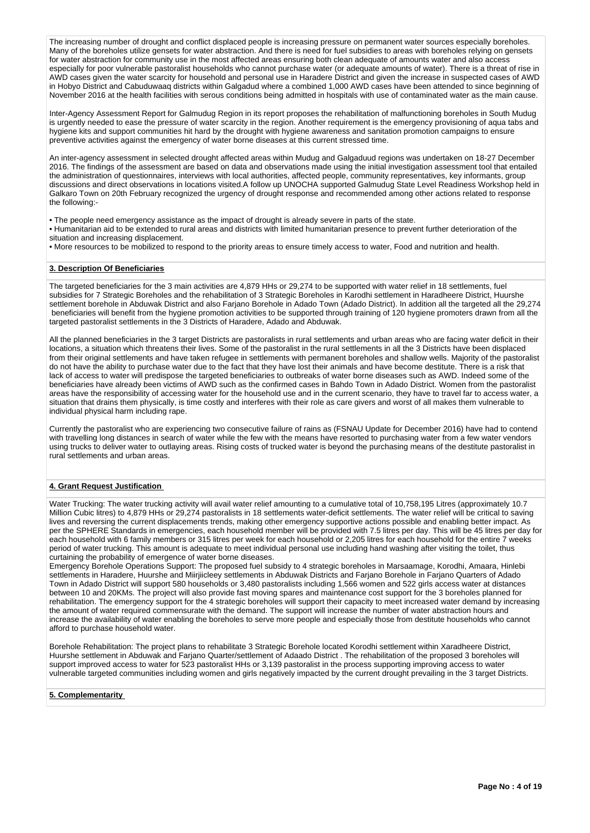The increasing number of drought and conflict displaced people is increasing pressure on permanent water sources especially boreholes. Many of the boreholes utilize gensets for water abstraction. And there is need for fuel subsidies to areas with boreholes relying on gensets for water abstraction for community use in the most affected areas ensuring both clean adequate of amounts water and also access especially for poor vulnerable pastoralist households who cannot purchase water (or adequate amounts of water). There is a threat of rise in AWD cases given the water scarcity for household and personal use in Haradere District and given the increase in suspected cases of AWD in Hobyo District and Cabuduwaaq districts within Galgadud where a combined 1,000 AWD cases have been attended to since beginning of November 2016 at the health facilities with serous conditions being admitted in hospitals with use of contaminated water as the main cause.

Inter-Agency Assessment Report for Galmudug Region in its report proposes the rehabilitation of malfunctioning boreholes in South Mudug is urgently needed to ease the pressure of water scarcity in the region. Another requirement is the emergency provisioning of aqua tabs and hygiene kits and support communities hit hard by the drought with hygiene awareness and sanitation promotion campaigns to ensure preventive activities against the emergency of water borne diseases at this current stressed time.

An inter-agency assessment in selected drought affected areas within Mudug and Galgaduud regions was undertaken on 18-27 December 2016. The findings of the assessment are based on data and observations made using the initial investigation assessment tool that entailed the administration of questionnaires, interviews with local authorities, affected people, community representatives, key informants, group discussions and direct observations in locations visited.A follow up UNOCHA supported Galmudug State Level Readiness Workshop held in Galkaro Town on 20th February recognized the urgency of drought response and recommended among other actions related to response the following:-

• The people need emergency assistance as the impact of drought is already severe in parts of the state.

• Humanitarian aid to be extended to rural areas and districts with limited humanitarian presence to prevent further deterioration of the situation and increasing displacement.

• More resources to be mobilized to respond to the priority areas to ensure timely access to water, Food and nutrition and health.

#### **3. Description Of Beneficiaries**

The targeted beneficiaries for the 3 main activities are 4,879 HHs or 29,274 to be supported with water relief in 18 settlements, fuel subsidies for 7 Strategic Boreholes and the rehabilitation of 3 Strategic Boreholes in Karodhi settlement in Haradheere District, Huurshe settlement borehole in Abduwak District and also Farjano Borehole in Adado Town (Adado District). In addition all the targeted all the 29,274 beneficiaries will benefit from the hygiene promotion activities to be supported through training of 120 hygiene promoters drawn from all the targeted pastoralist settlements in the 3 Districts of Haradere, Adado and Abduwak.

All the planned beneficiaries in the 3 target Districts are pastoralists in rural settlements and urban areas who are facing water deficit in their locations, a situation which threatens their lives. Some of the pastoralist in the rural settlements in all the 3 Districts have been displaced from their original settlements and have taken refugee in settlements with permanent boreholes and shallow wells. Majority of the pastoralist do not have the ability to purchase water due to the fact that they have lost their animals and have become destitute. There is a risk that lack of access to water will predispose the targeted beneficiaries to outbreaks of water borne diseases such as AWD. Indeed some of the beneficiaries have already been victims of AWD such as the confirmed cases in Bahdo Town in Adado District. Women from the pastoralist areas have the responsibility of accessing water for the household use and in the current scenario, they have to travel far to access water, a situation that drains them physically, is time costly and interferes with their role as care givers and worst of all makes them vulnerable to individual physical harm including rape.

Currently the pastoralist who are experiencing two consecutive failure of rains as (FSNAU Update for December 2016) have had to contend with travelling long distances in search of water while the few with the means have resorted to purchasing water from a few water vendors using trucks to deliver water to outlaying areas. Rising costs of trucked water is beyond the purchasing means of the destitute pastoralist in rural settlements and urban areas.

## **4. Grant Request Justification**

Water Trucking: The water trucking activity will avail water relief amounting to a cumulative total of 10,758,195 Litres (approximately 10.7 Million Cubic litres) to 4,879 HHs or 29,274 pastoralists in 18 settlements water-deficit settlements. The water relief will be critical to saving lives and reversing the current displacements trends, making other emergency supportive actions possible and enabling better impact. As per the SPHERE Standards in emergencies, each household member will be provided with 7.5 litres per day. This will be 45 litres per day for each household with 6 family members or 315 litres per week for each household or 2,205 litres for each household for the entire 7 weeks period of water trucking. This amount is adequate to meet individual personal use including hand washing after visiting the toilet, thus curtaining the probability of emergence of water borne diseases.

Emergency Borehole Operations Support: The proposed fuel subsidy to 4 strategic boreholes in Marsaamage, Korodhi, Amaara, Hinlebi settlements in Haradere, Huurshe and Miirjiicleey settlements in Abduwak Districts and Farjano Borehole in Farjano Quarters of Adado Town in Adado District will support 580 households or 3,480 pastoralists including 1,566 women and 522 girls access water at distances between 10 and 20KMs. The project will also provide fast moving spares and maintenance cost support for the 3 boreholes planned for rehabilitation. The emergency support for the 4 strategic boreholes will support their capacity to meet increased water demand by increasing the amount of water required commensurate with the demand. The support will increase the number of water abstraction hours and increase the availability of water enabling the boreholes to serve more people and especially those from destitute households who cannot afford to purchase household water.

Borehole Rehabilitation: The project plans to rehabilitate 3 Strategic Borehole located Korodhi settlement within Xaradheere District, Huurshe settlement in Abduwak and Farjano Quarter/settlement of Adaado District . The rehabilitation of the proposed 3 boreholes will support improved access to water for 523 pastoralist HHs or 3,139 pastoralist in the process supporting improving access to water vulnerable targeted communities including women and girls negatively impacted by the current drought prevailing in the 3 target Districts.

#### **5. Complementarity**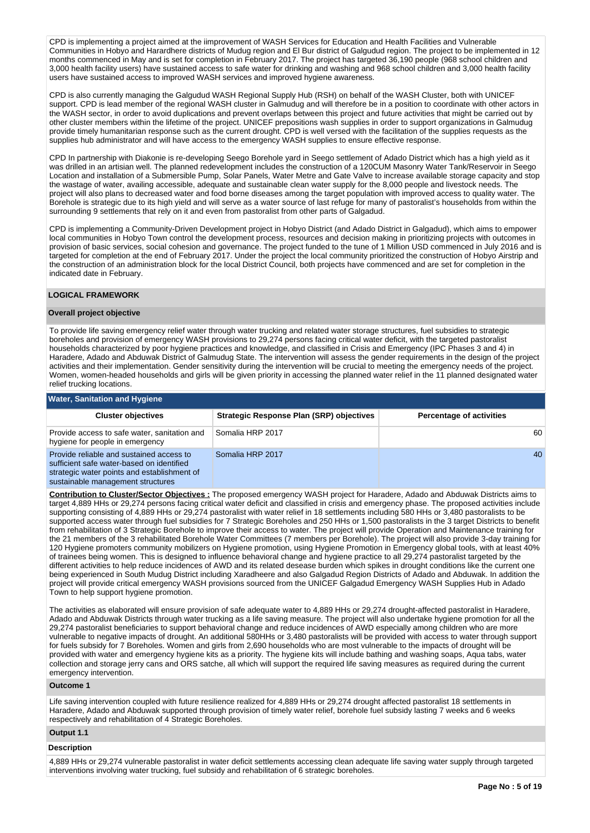CPD is implementing a project aimed at the iimprovement of WASH Services for Education and Health Facilities and Vulnerable Communities in Hobyo and Harardhere districts of Mudug region and El Bur district of Galgudud region. The project to be implemented in 12 months commenced in May and is set for completion in February 2017. The project has targeted 36,190 people (968 school children and 3,000 health facility users) have sustained access to safe water for drinking and washing and 968 school children and 3,000 health facility users have sustained access to improved WASH services and improved hygiene awareness.

CPD is also currently managing the Galgudud WASH Regional Supply Hub (RSH) on behalf of the WASH Cluster, both with UNICEF support. CPD is lead member of the regional WASH cluster in Galmudug and will therefore be in a position to coordinate with other actors in the WASH sector, in order to avoid duplications and prevent overlaps between this project and future activities that might be carried out by other cluster members within the lifetime of the project. UNICEF prepositions wash supplies in order to support organizations in Galmudug provide timely humanitarian response such as the current drought. CPD is well versed with the facilitation of the supplies requests as the supplies hub administrator and will have access to the emergency WASH supplies to ensure effective response.

CPD In partnership with Diakonie is re-developing Seego Borehole yard in Seego settlement of Adado District which has a high yield as it was drilled in an artisian well. The planned redevelopment includes the construction of a 120CUM Masonry Water Tank/Reservoir in Seego Location and installation of a Submersible Pump, Solar Panels, Water Metre and Gate Valve to increase available storage capacity and stop the wastage of water, availing accessible, adequate and sustainable clean water supply for the 8,000 people and livestock needs. The project will also plans to decreased water and food borne diseases among the target population with improved access to quality water. The Borehole is strategic due to its high yield and will serve as a water source of last refuge for many of pastoralist's households from within the surrounding 9 settlements that rely on it and even from pastoralist from other parts of Galgadud.

CPD is implementing a Community-Driven Development project in Hobyo District (and Adado District in Galgadud), which aims to empower local communities in Hobyo Town control the development process, resources and decision making in prioritizing projects with outcomes in provision of basic services, social cohesion and governance. The project funded to the tune of 1 Million USD commenced in July 2016 and is targeted for completion at the end of February 2017. Under the project the local community prioritized the construction of Hobyo Airstrip and the construction of an administration block for the local District Council, both projects have commenced and are set for completion in the indicated date in February.

#### **LOGICAL FRAMEWORK**

#### **Overall project objective**

To provide life saving emergency relief water through water trucking and related water storage structures, fuel subsidies to strategic boreholes and provision of emergency WASH provisions to 29,274 persons facing critical water deficit, with the targeted pastoralist households characterized by poor hygiene practices and knowledge, and classified in Crisis and Emergency (IPC Phases 3 and 4) in Haradere, Adado and Abduwak District of Galmudug State. The intervention will assess the gender requirements in the design of the project activities and their implementation. Gender sensitivity during the intervention will be crucial to meeting the emergency needs of the project. Women, women-headed households and girls will be given priority in accessing the planned water relief in the 11 planned designated water relief trucking locations.

| <b>Water, Sanitation and Hygiene</b>                                                                                                                                      |                                          |                                 |  |  |  |  |  |  |  |  |
|---------------------------------------------------------------------------------------------------------------------------------------------------------------------------|------------------------------------------|---------------------------------|--|--|--|--|--|--|--|--|
| <b>Cluster objectives</b>                                                                                                                                                 | Strategic Response Plan (SRP) objectives | <b>Percentage of activities</b> |  |  |  |  |  |  |  |  |
| Provide access to safe water, sanitation and<br>hygiene for people in emergency                                                                                           | Somalia HRP 2017                         | 60                              |  |  |  |  |  |  |  |  |
| Provide reliable and sustained access to<br>sufficient safe water-based on identified<br>strategic water points and establishment of<br>sustainable management structures | Somalia HRP 2017                         | 40                              |  |  |  |  |  |  |  |  |

**Contribution to Cluster/Sector Objectives :** The proposed emergency WASH project for Haradere, Adado and Abduwak Districts aims to target 4,889 HHs or 29,274 persons facing critical water deficit and classified in crisis and emergency phase. The proposed activities include supporting consisting of 4,889 HHs or 29,274 pastoralist with water relief in 18 settlements including 580 HHs or 3,480 pastoralists to be supported access water through fuel subsidies for 7 Strategic Boreholes and 250 HHs or 1,500 pastoralists in the 3 target Districts to benefit from rehabilitation of 3 Strategic Borehole to improve their access to water. The project will provide Operation and Maintenance training for the 21 members of the 3 rehabilitated Borehole Water Committees (7 members per Borehole). The project will also provide 3-day training for 120 Hygiene promoters community mobilizers on Hygiene promotion, using Hygiene Promotion in Emergency global tools, with at least 40% of trainees being women. This is designed to influence behavioral change and hygiene practice to all 29,274 pastoralist targeted by the different activities to help reduce incidences of AWD and its related desease burden which spikes in drought conditions like the current one being experienced in South Mudug District including Xaradheere and also Galgadud Region Districts of Adado and Abduwak. In addition the project will provide critical emergency WASH provisions sourced from the UNICEF Galgadud Emergency WASH Supplies Hub in Adado Town to help support hygiene promotion.

The activities as elaborated will ensure provision of safe adequate water to 4,889 HHs or 29,274 drought-affected pastoralist in Haradere, Adado and Abduwak Districts through water trucking as a life saving measure. The project will also undertake hygiene promotion for all the 29,274 pastoralist beneficiaries to support behavioral change and reduce incidences of AWD especially among children who are more vulnerable to negative impacts of drought. An additional 580HHs or 3,480 pastoralists will be provided with access to water through support for fuels subsidy for 7 Boreholes. Women and girls from 2,690 households who are most vulnerable to the impacts of drought will be provided with water and emergency hygiene kits as a priority. The hygiene kits will include bathing and washing soaps, Aqua tabs, water collection and storage jerry cans and ORS satche, all which will support the required life saving measures as required during the current emergency intervention.

## **Outcome 1**

Life saving intervention coupled with future resilience realized for 4,889 HHs or 29,274 drought affected pastoralist 18 settlements in Haradere, Adado and Abduwak supported through provision of timely water relief, borehole fuel subsidy lasting 7 weeks and 6 weeks respectively and rehabilitation of 4 Strategic Boreholes.

# **Output 1.1**

#### **Description**

4,889 HHs or 29,274 vulnerable pastoralist in water deficit settlements accessing clean adequate life saving water supply through targeted interventions involving water trucking, fuel subsidy and rehabilitation of 6 strategic boreholes.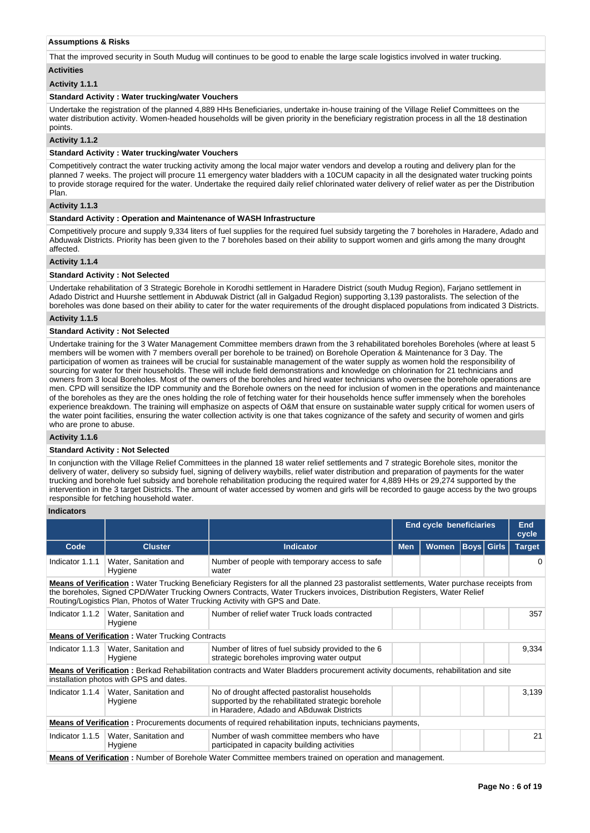#### **Assumptions & Risks**

That the improved security in South Mudug will continues to be good to enable the large scale logistics involved in water trucking.

# **Activities**

# **Activity 1.1.1**

### **Standard Activity : Water trucking/water Vouchers**

Undertake the registration of the planned 4,889 HHs Beneficiaries, undertake in-house training of the Village Relief Committees on the water distribution activity. Women-headed households will be given priority in the beneficiary registration process in all the 18 destination points.

#### **Activity 1.1.2**

#### **Standard Activity : Water trucking/water Vouchers**

Competitively contract the water trucking activity among the local major water vendors and develop a routing and delivery plan for the planned 7 weeks. The project will procure 11 emergency water bladders with a 10CUM capacity in all the designated water trucking points to provide storage required for the water. Undertake the required daily relief chlorinated water delivery of relief water as per the Distribution Plan.

## **Activity 1.1.3**

## **Standard Activity : Operation and Maintenance of WASH Infrastructure**

Competitively procure and supply 9,334 liters of fuel supplies for the required fuel subsidy targeting the 7 boreholes in Haradere, Adado and Abduwak Districts. Priority has been given to the 7 boreholes based on their ability to support women and girls among the many drought affected.

#### **Activity 1.1.4**

### **Standard Activity : Not Selected**

Undertake rehabilitation of 3 Strategic Borehole in Korodhi settlement in Haradere District (south Mudug Region), Farjano settlement in Adado District and Huurshe settlement in Abduwak District (all in Galgadud Region) supporting 3,139 pastoralists. The selection of the boreholes was done based on their ability to cater for the water requirements of the drought displaced populations from indicated 3 Districts.

#### **Activity 1.1.5**

## **Standard Activity : Not Selected**

Undertake training for the 3 Water Management Committee members drawn from the 3 rehabilitated boreholes Boreholes (where at least 5 members will be women with 7 members overall per borehole to be trained) on Borehole Operation & Maintenance for 3 Day. The participation of women as trainees will be crucial for sustainable management of the water supply as women hold the responsibility of sourcing for water for their households. These will include field demonstrations and knowledge on chlorination for 21 technicians and owners from 3 local Boreholes. Most of the owners of the boreholes and hired water technicians who oversee the borehole operations are men. CPD will sensitize the IDP community and the Borehole owners on the need for inclusion of women in the operations and maintenance of the boreholes as they are the ones holding the role of fetching water for their households hence suffer immensely when the boreholes experience breakdown. The training will emphasize on aspects of O&M that ensure on sustainable water supply critical for women users of the water point facilities, ensuring the water collection activity is one that takes cognizance of the safety and security of women and girls who are prone to abuse.

**Activity 1.1.6** 

#### **Standard Activity : Not Selected**

In conjunction with the Village Relief Committees in the planned 18 water relief settlements and 7 strategic Borehole sites, monitor the delivery of water, delivery so subsidy fuel, signing of delivery waybills, relief water distribution and preparation of payments for the water trucking and borehole fuel subsidy and borehole rehabilitation producing the required water for 4,889 HHs or 29,274 supported by the intervention in the 3 target Districts. The amount of water accessed by women and girls will be recorded to gauge access by the two groups responsible for fetching household water.

#### **Indicators**

|                                                                                                                                                                                                                                                                                                                                                              |                                                        |                                                                                                                                                | <b>End cycle beneficiaries</b> |       |       |                   | <b>End</b><br>cycle |
|--------------------------------------------------------------------------------------------------------------------------------------------------------------------------------------------------------------------------------------------------------------------------------------------------------------------------------------------------------------|--------------------------------------------------------|------------------------------------------------------------------------------------------------------------------------------------------------|--------------------------------|-------|-------|-------------------|---------------------|
| Code                                                                                                                                                                                                                                                                                                                                                         | <b>Cluster</b>                                         | <b>Indicator</b>                                                                                                                               | <b>Men</b>                     | Women |       | <b>Boys</b> Girls | <b>Target</b>       |
| Indicator 1.1.1                                                                                                                                                                                                                                                                                                                                              | Water, Sanitation and<br>Hygiene                       | Number of people with temporary access to safe<br>water                                                                                        |                                |       |       |                   | 0                   |
| <b>Means of Verification</b> : Water Trucking Beneficiary Registers for all the planned 23 pastoralist settlements, Water purchase receipts from<br>the boreholes, Signed CPD/Water Trucking Owners Contracts, Water Truckers invoices, Distribution Registers, Water Relief<br>Routing/Logistics Plan, Photos of Water Trucking Activity with GPS and Date. |                                                        |                                                                                                                                                |                                |       |       |                   |                     |
|                                                                                                                                                                                                                                                                                                                                                              | Indicator 1.1.2   Water, Sanitation and<br>Hygiene     | Number of relief water Truck loads contracted                                                                                                  |                                |       |       |                   | 357                 |
|                                                                                                                                                                                                                                                                                                                                                              | <b>Means of Verification:</b> Water Trucking Contracts |                                                                                                                                                |                                |       |       |                   |                     |
|                                                                                                                                                                                                                                                                                                                                                              | Indicator 1.1.3   Water, Sanitation and<br>Hygiene     | Number of litres of fuel subsidy provided to the 6<br>strategic boreholes improving water output                                               |                                |       |       |                   | 9,334               |
|                                                                                                                                                                                                                                                                                                                                                              | installation photos with GPS and dates.                | <b>Means of Verification</b> : Berkad Rehabilitation contracts and Water Bladders procurement activity documents, rehabilitation and site      |                                |       |       |                   |                     |
|                                                                                                                                                                                                                                                                                                                                                              | Indicator 1.1.4   Water, Sanitation and<br>Hygiene     | No of drought affected pastoralist households<br>supported by the rehabilitated strategic borehole<br>in Haradere, Adado and ABduwak Districts |                                |       | 3,139 |                   |                     |
|                                                                                                                                                                                                                                                                                                                                                              |                                                        | <b>Means of Verification</b> : Procurements documents of required rehabilitation inputs, technicians payments,                                 |                                |       |       |                   |                     |
|                                                                                                                                                                                                                                                                                                                                                              | Indicator 1.1.5   Water, Sanitation and<br>Hygiene     | Number of wash committee members who have<br>participated in capacity building activities                                                      |                                |       |       |                   | 21                  |
|                                                                                                                                                                                                                                                                                                                                                              |                                                        | <b>Means of Verification</b> : Number of Borehole Water Committee members trained on operation and management.                                 |                                |       |       |                   |                     |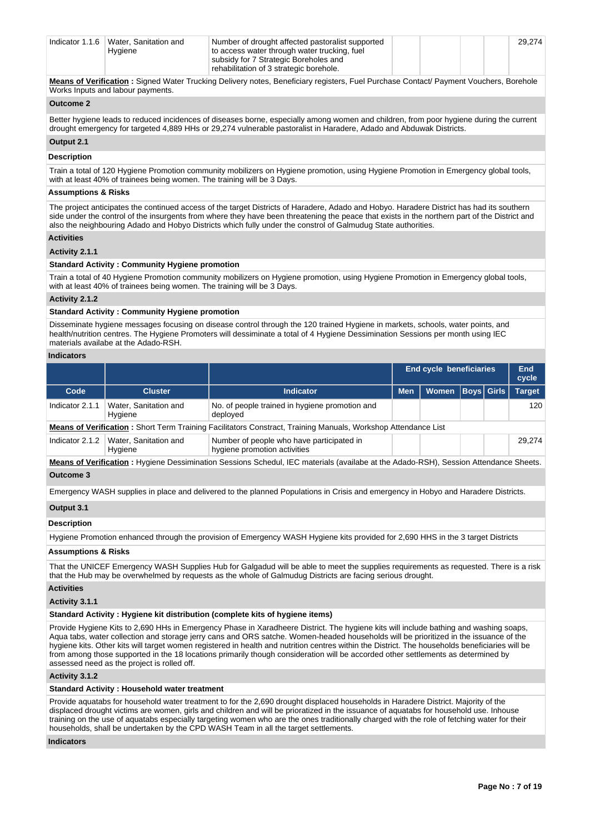| Indicator $1.1.6$ | Water. Sanitation and<br>Hygiene | Number of drought affected pastoralist supported<br>to access water through water trucking, fuel |  |  | 29.274 |
|-------------------|----------------------------------|--------------------------------------------------------------------------------------------------|--|--|--------|
|                   |                                  | subsidy for 7 Strategic Boreholes and                                                            |  |  |        |
|                   |                                  | rehabilitation of 3 strategic borehole.                                                          |  |  |        |

**Means of Verification :** Signed Water Trucking Delivery notes, Beneficiary registers, Fuel Purchase Contact/ Payment Vouchers, Borehole Works Inputs and labour payments.

## **Outcome 2**

Better hygiene leads to reduced incidences of diseases borne, especially among women and children, from poor hygiene during the current drought emergency for targeted 4,889 HHs or 29,274 vulnerable pastoralist in Haradere, Adado and Abduwak Districts.

# **Output 2.1**

**Description**

Train a total of 120 Hygiene Promotion community mobilizers on Hygiene promotion, using Hygiene Promotion in Emergency global tools, with at least 40% of trainees being women. The training will be 3 Days.

## **Assumptions & Risks**

The project anticipates the continued access of the target Districts of Haradere, Adado and Hobyo. Haradere District has had its southern side under the control of the insurgents from where they have been threatening the peace that exists in the northern part of the District and also the neighbouring Adado and Hobyo Districts which fully under the constrol of Galmudug State authorities.

#### **Activities**

#### **Activity 2.1.1**

## **Standard Activity : Community Hygiene promotion**

Train a total of 40 Hygiene Promotion community mobilizers on Hygiene promotion, using Hygiene Promotion in Emergency global tools, with at least 40% of trainees being women. The training will be 3 Days.

## **Activity 2.1.2**

# **Standard Activity : Community Hygiene promotion**

Disseminate hygiene messages focusing on disease control through the 120 trained Hygiene in markets, schools, water points, and health/nutrition centres. The Hygiene Promoters will dessiminate a total of 4 Hygiene Dessimination Sessions per month using IEC materials availabe at the Adado-RSH.

#### **Indicators**

|                 |                                  |                                                                                                                      |            | <b>End cycle beneficiaries</b> |  | End<br>cycle  |
|-----------------|----------------------------------|----------------------------------------------------------------------------------------------------------------------|------------|--------------------------------|--|---------------|
| Code            | <b>Cluster</b>                   | <b>Indicator</b>                                                                                                     | <b>Men</b> | Women   Boys   Girls           |  | <b>Target</b> |
| Indicator 2.1.1 | Water, Sanitation and<br>Hygiene | No. of people trained in hygiene promotion and<br>deployed                                                           |            |                                |  | 120           |
|                 |                                  | <b>Means of Verification:</b> Short Term Training Facilitators Constract, Training Manuals, Workshop Attendance List |            |                                |  |               |
| Indicator 2.1.2 | Water, Sanitation and<br>Hygiene | Number of people who have participated in<br>hygiene promotion activities                                            |            |                                |  | 29.274        |

**Means of Verification :** Hygiene Dessimination Sessions Schedul, IEC materials (availabe at the Adado-RSH), Session Attendance Sheets. **Outcome 3**

Emergency WASH supplies in place and delivered to the planned Populations in Crisis and emergency in Hobyo and Haradere Districts.

#### **Output 3.1**

#### **Description**

Hygiene Promotion enhanced through the provision of Emergency WASH Hygiene kits provided for 2,690 HHS in the 3 target Districts

#### **Assumptions & Risks**

That the UNICEF Emergency WASH Supplies Hub for Galgadud will be able to meet the supplies requirements as requested. There is a risk that the Hub may be overwhelmed by requests as the whole of Galmudug Districts are facing serious drought.

#### **Activities**

#### **Activity 3.1.1**

#### **Standard Activity : Hygiene kit distribution (complete kits of hygiene items)**

Provide Hygiene Kits to 2,690 HHs in Emergency Phase in Xaradheere District. The hygiene kits will include bathing and washing soaps, Aqua tabs, water collection and storage jerry cans and ORS satche. Women-headed households will be prioritized in the issuance of the hygiene kits. Other kits will target women registered in health and nutrition centres within the District. The households beneficiaries will be from among those supported in the 18 locations primarily though consideration will be accorded other settlements as determined by assessed need as the project is rolled off.

## **Activity 3.1.2**

## **Standard Activity : Household water treatment**

Provide aquatabs for household water treatment to for the 2,690 drought displaced households in Haradere District. Majority of the displaced drought victims are women, girls and children and will be prioratized in the issuance of aquatabs for household use. Inhouse training on the use of aquatabs especially targeting women who are the ones traditionally charged with the role of fetching water for their households, shall be undertaken by the CPD WASH Team in all the target settlements.

## **Indicators**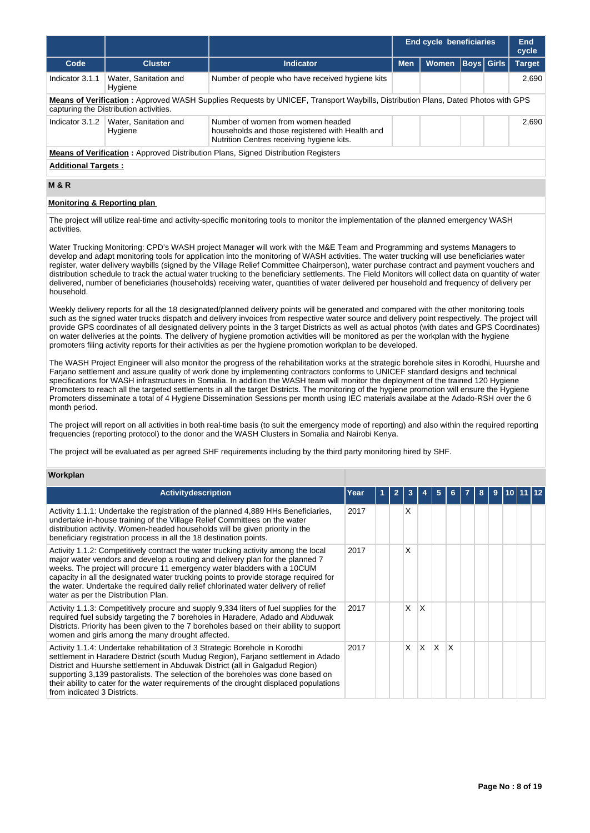|                                                                                                                                                                           |                                                                                          |                                                                                                                                   |            | <b>End cycle beneficiaries</b> |  |                   | End<br>cycle  |  |  |
|---------------------------------------------------------------------------------------------------------------------------------------------------------------------------|------------------------------------------------------------------------------------------|-----------------------------------------------------------------------------------------------------------------------------------|------------|--------------------------------|--|-------------------|---------------|--|--|
| Code                                                                                                                                                                      | <b>Cluster</b>                                                                           | Indicator                                                                                                                         | <b>Men</b> | <b>Women</b>                   |  | <b>Boys</b> Girls | <b>Target</b> |  |  |
| Indicator 3.1.1                                                                                                                                                           | Water, Sanitation and<br>Hygiene                                                         | Number of people who have received hygiene kits                                                                                   |            |                                |  |                   | 2.690         |  |  |
| Means of Verification: Approved WASH Supplies Requests by UNICEF, Transport Waybills, Distribution Plans, Dated Photos with GPS<br>capturing the Distribution activities. |                                                                                          |                                                                                                                                   |            |                                |  |                   |               |  |  |
| Indicator 3.1.2                                                                                                                                                           | Water, Sanitation and<br>Hygiene                                                         | Number of women from women headed<br>households and those registered with Health and<br>Nutrition Centres receiving hygiene kits. |            |                                |  | 2.690             |               |  |  |
|                                                                                                                                                                           | <b>Means of Verification:</b> Approved Distribution Plans, Signed Distribution Registers |                                                                                                                                   |            |                                |  |                   |               |  |  |
| <b>Additional Targets:</b>                                                                                                                                                |                                                                                          |                                                                                                                                   |            |                                |  |                   |               |  |  |

# **M & R**

## **Monitoring & Reporting plan**

The project will utilize real-time and activity-specific monitoring tools to monitor the implementation of the planned emergency WASH activities.

Water Trucking Monitoring: CPD's WASH project Manager will work with the M&E Team and Programming and systems Managers to develop and adapt monitoring tools for application into the monitoring of WASH activities. The water trucking will use beneficiaries water register, water delivery waybills (signed by the Village Relief Committee Chairperson), water purchase contract and payment vouchers and distribution schedule to track the actual water trucking to the beneficiary settlements. The Field Monitors will collect data on quantity of water delivered, number of beneficiaries (households) receiving water, quantities of water delivered per household and frequency of delivery per household.

Weekly delivery reports for all the 18 designated/planned delivery points will be generated and compared with the other monitoring tools such as the signed water trucks dispatch and delivery invoices from respective water source and delivery point respectively. The project will provide GPS coordinates of all designated delivery points in the 3 target Districts as well as actual photos (with dates and GPS Coordinates) on water deliveries at the points. The delivery of hygiene promotion activities will be monitored as per the workplan with the hygiene promoters filing activity reports for their activities as per the hygiene promotion workplan to be developed.

The WASH Project Engineer will also monitor the progress of the rehabilitation works at the strategic borehole sites in Korodhi, Huurshe and Farjano settlement and assure quality of work done by implementing contractors conforms to UNICEF standard designs and technical specifications for WASH infrastructures in Somalia. In addition the WASH team will monitor the deployment of the trained 120 Hygiene Promoters to reach all the targeted settlements in all the target Districts. The monitoring of the hygiene promotion will ensure the Hygiene Promoters disseminate a total of 4 Hygiene Dissemination Sessions per month using IEC materials availabe at the Adado-RSH over the 6 month period.

The project will report on all activities in both real-time basis (to suit the emergency mode of reporting) and also within the required reporting frequencies (reporting protocol) to the donor and the WASH Clusters in Somalia and Nairobi Kenya.

The project will be evaluated as per agreed SHF requirements including by the third party monitoring hired by SHF.

#### **Workplan**

| <b>Activitydescription</b>                                                                                                                                                                                                                                                                                                                                                                                                                                            | Year |  |          |          |              |   | 8 | 9 |  |  |
|-----------------------------------------------------------------------------------------------------------------------------------------------------------------------------------------------------------------------------------------------------------------------------------------------------------------------------------------------------------------------------------------------------------------------------------------------------------------------|------|--|----------|----------|--------------|---|---|---|--|--|
| Activity 1.1.1: Undertake the registration of the planned 4,889 HHs Beneficiaries,<br>undertake in-house training of the Village Relief Committees on the water<br>distribution activity. Women-headed households will be given priority in the<br>beneficiary registration process in all the 18 destination points.                                                                                                                                                 | 2017 |  | X        |          |              |   |   |   |  |  |
| Activity 1.1.2: Competitively contract the water trucking activity among the local<br>major water vendors and develop a routing and delivery plan for the planned 7<br>weeks. The project will procure 11 emergency water bladders with a 10CUM<br>capacity in all the designated water trucking points to provide storage required for<br>the water. Undertake the required daily relief chlorinated water delivery of relief<br>water as per the Distribution Plan. | 2017 |  | x        |          |              |   |   |   |  |  |
| Activity 1.1.3: Competitively procure and supply 9,334 liters of fuel supplies for the<br>required fuel subsidy targeting the 7 boreholes in Haradere, Adado and Abduwak<br>Districts. Priority has been given to the 7 boreholes based on their ability to support<br>women and girls among the many drought affected.                                                                                                                                               | 2017 |  | X        | X        |              |   |   |   |  |  |
| Activity 1.1.4: Undertake rehabilitation of 3 Strategic Borehole in Korodhi<br>settlement in Haradere District (south Mudug Region), Farjano settlement in Adado<br>District and Huurshe settlement in Abduwak District (all in Galgadud Region)<br>supporting 3,139 pastoralists. The selection of the boreholes was done based on<br>their ability to cater for the water requirements of the drought displaced populations<br>from indicated 3 Districts.          | 2017 |  | $\times$ | $\times$ | $\mathsf{x}$ | X |   |   |  |  |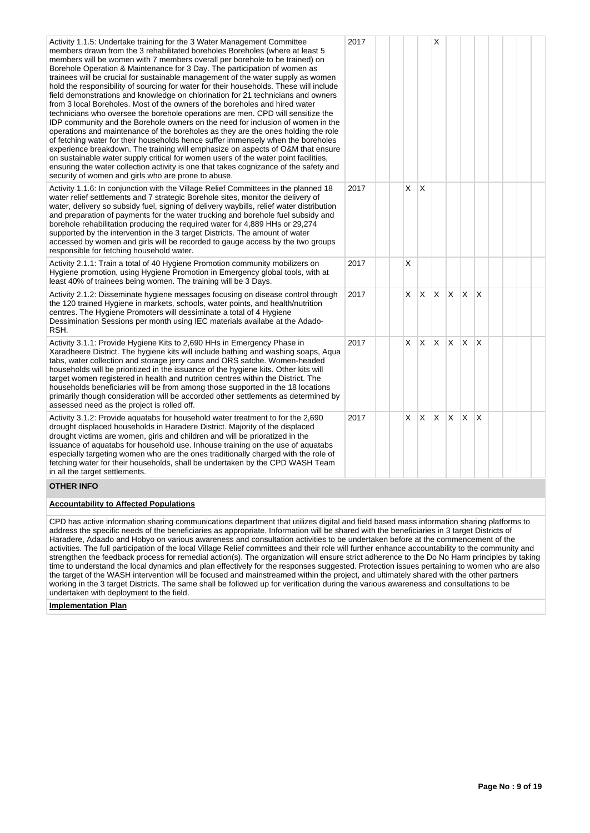| Activity 1.1.5: Undertake training for the 3 Water Management Committee<br>members drawn from the 3 rehabilitated boreholes Boreholes (where at least 5<br>members will be women with 7 members overall per borehole to be trained) on<br>Borehole Operation & Maintenance for 3 Day. The participation of women as<br>trainees will be crucial for sustainable management of the water supply as women<br>hold the responsibility of sourcing for water for their households. These will include<br>field demonstrations and knowledge on chlorination for 21 technicians and owners<br>from 3 local Boreholes. Most of the owners of the boreholes and hired water<br>technicians who oversee the borehole operations are men. CPD will sensitize the<br>IDP community and the Borehole owners on the need for inclusion of women in the<br>operations and maintenance of the boreholes as they are the ones holding the role<br>of fetching water for their households hence suffer immensely when the boreholes<br>experience breakdown. The training will emphasize on aspects of O&M that ensure<br>on sustainable water supply critical for women users of the water point facilities,<br>ensuring the water collection activity is one that takes cognizance of the safety and<br>security of women and girls who are prone to abuse. | 2017 |   |   | X  |   |          |   |  |  |
|-----------------------------------------------------------------------------------------------------------------------------------------------------------------------------------------------------------------------------------------------------------------------------------------------------------------------------------------------------------------------------------------------------------------------------------------------------------------------------------------------------------------------------------------------------------------------------------------------------------------------------------------------------------------------------------------------------------------------------------------------------------------------------------------------------------------------------------------------------------------------------------------------------------------------------------------------------------------------------------------------------------------------------------------------------------------------------------------------------------------------------------------------------------------------------------------------------------------------------------------------------------------------------------------------------------------------------------------------|------|---|---|----|---|----------|---|--|--|
| Activity 1.1.6: In conjunction with the Village Relief Committees in the planned 18<br>water relief settlements and 7 strategic Borehole sites, monitor the delivery of<br>water, delivery so subsidy fuel, signing of delivery waybills, relief water distribution<br>and preparation of payments for the water trucking and borehole fuel subsidy and<br>borehole rehabilitation producing the required water for 4,889 HHs or 29,274<br>supported by the intervention in the 3 target Districts. The amount of water<br>accessed by women and girls will be recorded to gauge access by the two groups<br>responsible for fetching household water.                                                                                                                                                                                                                                                                                                                                                                                                                                                                                                                                                                                                                                                                                        | 2017 | X | X |    |   |          |   |  |  |
| Activity 2.1.1: Train a total of 40 Hygiene Promotion community mobilizers on<br>Hygiene promotion, using Hygiene Promotion in Emergency global tools, with at<br>least 40% of trainees being women. The training will be 3 Days.                                                                                                                                                                                                                                                                                                                                                                                                                                                                                                                                                                                                                                                                                                                                                                                                                                                                                                                                                                                                                                                                                                             | 2017 | X |   |    |   |          |   |  |  |
| Activity 2.1.2: Disseminate hygiene messages focusing on disease control through<br>the 120 trained Hygiene in markets, schools, water points, and health/nutrition<br>centres. The Hygiene Promoters will dessiminate a total of 4 Hygiene<br>Dessimination Sessions per month using IEC materials availabe at the Adado-<br>RSH.                                                                                                                                                                                                                                                                                                                                                                                                                                                                                                                                                                                                                                                                                                                                                                                                                                                                                                                                                                                                            | 2017 | X | X | X  | X | ΙX.      | X |  |  |
| Activity 3.1.1: Provide Hygiene Kits to 2,690 HHs in Emergency Phase in<br>Xaradheere District. The hygiene kits will include bathing and washing soaps, Aqua<br>tabs, water collection and storage jerry cans and ORS satche. Women-headed<br>households will be prioritized in the issuance of the hygiene kits. Other kits will<br>target women registered in health and nutrition centres within the District. The<br>households beneficiaries will be from among those supported in the 18 locations<br>primarily though consideration will be accorded other settlements as determined by<br>assessed need as the project is rolled off.                                                                                                                                                                                                                                                                                                                                                                                                                                                                                                                                                                                                                                                                                                | 2017 | X | X | X  | X | IX.      | X |  |  |
| Activity 3.1.2: Provide aquatabs for household water treatment to for the 2,690<br>drought displaced households in Haradere District. Majority of the displaced<br>drought victims are women, girls and children and will be prioratized in the<br>issuance of aquatabs for household use. Inhouse training on the use of aquatabs<br>especially targeting women who are the ones traditionally charged with the role of<br>fetching water for their households, shall be undertaken by the CPD WASH Team<br>in all the target settlements.                                                                                                                                                                                                                                                                                                                                                                                                                                                                                                                                                                                                                                                                                                                                                                                                   | 2017 | X | X | X. | X | <b>X</b> | X |  |  |
| <b>OTHER INFO</b>                                                                                                                                                                                                                                                                                                                                                                                                                                                                                                                                                                                                                                                                                                                                                                                                                                                                                                                                                                                                                                                                                                                                                                                                                                                                                                                             |      |   |   |    |   |          |   |  |  |

## **Accountability to Affected Populations**

CPD has active information sharing communications department that utilizes digital and field based mass information sharing platforms to address the specific needs of the beneficiaries as appropriate. Information will be shared with the beneficiaries in 3 target Districts of Haradere, Adaado and Hobyo on various awareness and consultation activities to be undertaken before at the commencement of the activities. The full participation of the local Village Relief committees and their role will further enhance accountability to the community and strengthen the feedback process for remedial action(s). The organization will ensure strict adherence to the Do No Harm principles by taking time to understand the local dynamics and plan effectively for the responses suggested. Protection issues pertaining to women who are also the target of the WASH intervention will be focused and mainstreamed within the project, and ultimately shared with the other partners working in the 3 target Districts. The same shall be followed up for verification during the various awareness and consultations to be undertaken with deployment to the field.

## **Implementation Plan**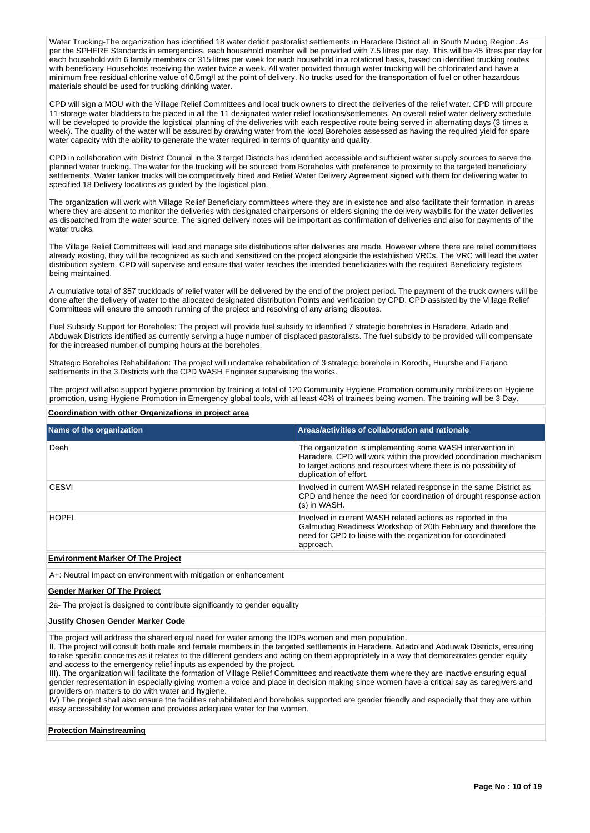Water Trucking-The organization has identified 18 water deficit pastoralist settlements in Haradere District all in South Mudug Region. As per the SPHERE Standards in emergencies, each household member will be provided with 7.5 litres per day. This will be 45 litres per day for each household with 6 family members or 315 litres per week for each household in a rotational basis, based on identified trucking routes with beneficiary Households receiving the water twice a week. All water provided through water trucking will be chlorinated and have a minimum free residual chlorine value of 0.5mg/l at the point of delivery. No trucks used for the transportation of fuel or other hazardous materials should be used for trucking drinking water.

CPD will sign a MOU with the Village Relief Committees and local truck owners to direct the deliveries of the relief water. CPD will procure 11 storage water bladders to be placed in all the 11 designated water relief locations/settlements. An overall relief water delivery schedule will be developed to provide the logistical planning of the deliveries with each respective route being served in alternating days (3 times a week). The quality of the water will be assured by drawing water from the local Boreholes assessed as having the required yield for spare water capacity with the ability to generate the water required in terms of quantity and quality.

CPD in collaboration with District Council in the 3 target Districts has identified accessible and sufficient water supply sources to serve the planned water trucking. The water for the trucking will be sourced from Boreholes with preference to proximity to the targeted beneficiary settlements. Water tanker trucks will be competitively hired and Relief Water Delivery Agreement signed with them for delivering water to specified 18 Delivery locations as guided by the logistical plan.

The organization will work with Village Relief Beneficiary committees where they are in existence and also facilitate their formation in areas where they are absent to monitor the deliveries with designated chairpersons or elders signing the delivery waybills for the water deliveries as dispatched from the water source. The signed delivery notes will be important as confirmation of deliveries and also for payments of the water trucks.

The Village Relief Committees will lead and manage site distributions after deliveries are made. However where there are relief committees already existing, they will be recognized as such and sensitized on the project alongside the established VRCs. The VRC will lead the water distribution system. CPD will supervise and ensure that water reaches the intended beneficiaries with the required Beneficiary registers being maintained.

A cumulative total of 357 truckloads of relief water will be delivered by the end of the project period. The payment of the truck owners will be done after the delivery of water to the allocated designated distribution Points and verification by CPD. CPD assisted by the Village Relief Committees will ensure the smooth running of the project and resolving of any arising disputes.

Fuel Subsidy Support for Boreholes: The project will provide fuel subsidy to identified 7 strategic boreholes in Haradere, Adado and Abduwak Districts identified as currently serving a huge number of displaced pastoralists. The fuel subsidy to be provided will compensate for the increased number of pumping hours at the boreholes.

Strategic Boreholes Rehabilitation: The project will undertake rehabilitation of 3 strategic borehole in Korodhi, Huurshe and Farjano settlements in the 3 Districts with the CPD WASH Engineer supervising the works.

The project will also support hygiene promotion by training a total of 120 Community Hygiene Promotion community mobilizers on Hygiene promotion, using Hygiene Promotion in Emergency global tools, with at least 40% of trainees being women. The training will be 3 Day.

## **Coordination with other Organizations in project area**

| Name of the organization             | Areas/activities of collaboration and rationale                                                                                                                                                                                |
|--------------------------------------|--------------------------------------------------------------------------------------------------------------------------------------------------------------------------------------------------------------------------------|
| Deeh                                 | The organization is implementing some WASH intervention in<br>Haradere. CPD will work within the provided coordination mechanism<br>to target actions and resources where there is no possibility of<br>duplication of effort. |
| CESVI                                | Involved in current WASH related response in the same District as<br>CPD and hence the need for coordination of drought response action<br>(s) in WASH.                                                                        |
| <b>HOPEL</b>                         | Involved in current WASH related actions as reported in the<br>Galmudug Readiness Workshop of 20th February and therefore the<br>need for CPD to liaise with the organization for coordinated<br>approach.                     |
| For the compact Model of The Bootest |                                                                                                                                                                                                                                |

#### **Environment Marker Of The Project**

A+: Neutral Impact on environment with mitigation or enhancement

### **Gender Marker Of The Project**

2a- The project is designed to contribute significantly to gender equality

#### **Justify Chosen Gender Marker Code**

The project will address the shared equal need for water among the IDPs women and men population.

II. The project will consult both male and female members in the targeted settlements in Haradere, Adado and Abduwak Districts, ensuring to take specific concerns as it relates to the different genders and acting on them appropriately in a way that demonstrates gender equity and access to the emergency relief inputs as expended by the project.

III). The organization will facilitate the formation of Village Relief Committees and reactivate them where they are inactive ensuring equal gender representation in especially giving women a voice and place in decision making since women have a critical say as caregivers and providers on matters to do with water and hygiene.

IV) The project shall also ensure the facilities rehabilitated and boreholes supported are gender friendly and especially that they are within easy accessibility for women and provides adequate water for the women.

## **Protection Mainstreaming**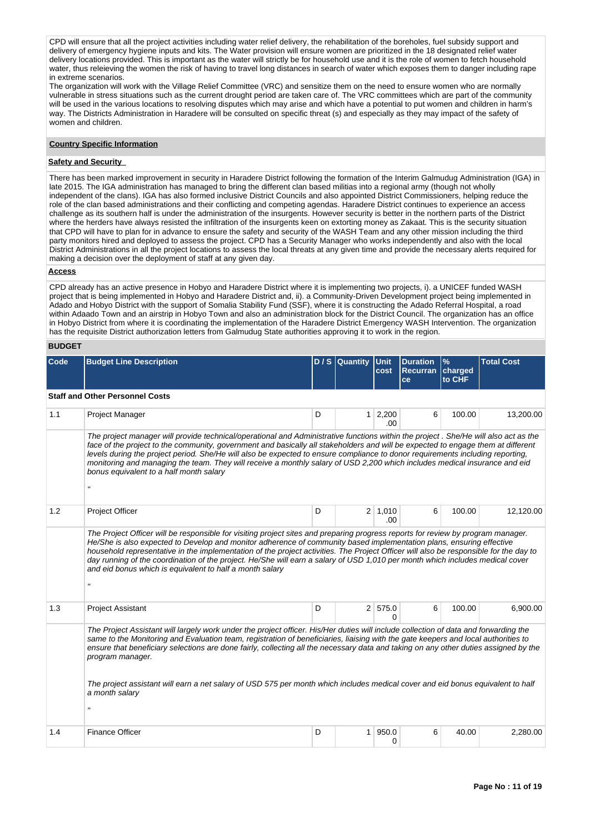CPD will ensure that all the project activities including water relief delivery, the rehabilitation of the boreholes, fuel subsidy support and delivery of emergency hygiene inputs and kits. The Water provision will ensure women are prioritized in the 18 designated relief water delivery locations provided. This is important as the water will strictly be for household use and it is the role of women to fetch household water, thus releieving the women the risk of having to travel long distances in search of water which exposes them to danger including rape in extreme scenarios.

The organization will work with the Village Relief Committee (VRC) and sensitize them on the need to ensure women who are normally vulnerable in stress situations such as the current drought period are taken care of. The VRC committees which are part of the community will be used in the various locations to resolving disputes which may arise and which have a potential to put women and children in harm's way. The Districts Administration in Haradere will be consulted on specific threat (s) and especially as they may impact of the safety of women and children.

#### **Country Specific Information**

#### **Safety and Security**

There has been marked improvement in security in Haradere District following the formation of the Interim Galmudug Administration (IGA) in late 2015. The IGA administration has managed to bring the different clan based militias into a regional army (though not wholly independent of the clans). IGA has also formed inclusive District Councils and also appointed District Commissioners, helping reduce the role of the clan based administrations and their conflicting and competing agendas. Haradere District continues to experience an access challenge as its southern half is under the administration of the insurgents. However security is better in the northern parts of the District where the herders have always resisted the infiltration of the insurgents keen on extorting money as Zakaat. This is the security situation that CPD will have to plan for in advance to ensure the safety and security of the WASH Team and any other mission including the third party monitors hired and deployed to assess the project. CPD has a Security Manager who works independently and also with the local District Administrations in all the project locations to assess the local threats at any given time and provide the necessary alerts required for making a decision over the deployment of staff at any given day.

#### **Access**

CPD already has an active presence in Hobyo and Haradere District where it is implementing two projects, i). a UNICEF funded WASH project that is being implemented in Hobyo and Haradere District and, ii). a Community-Driven Development project being implemented in Adado and Hobyo District with the support of Somalia Stability Fund (SSF), where it is constructing the Adado Referral Hospital, a road within Adaado Town and an airstrip in Hobyo Town and also an administration block for the District Council. The organization has an office in Hobyo District from where it is coordinating the implementation of the Haradere District Emergency WASH Intervention. The organization has the requisite District authorization letters from Galmudug State authorities approving it to work in the region.

### **BUDGET**

| Code | <b>Budget Line Description</b>                                                                                                                                                                                                                                                                                                                                                                                                                                                                                                                                                                                       |   | $D / S$ Quantity | <b>Unit</b><br>cost    | <b>Duration</b><br><b>Recurran</b><br>ce | $\frac{9}{6}$<br>charged<br>to CHF | <b>Total Cost</b> |  |  |
|------|----------------------------------------------------------------------------------------------------------------------------------------------------------------------------------------------------------------------------------------------------------------------------------------------------------------------------------------------------------------------------------------------------------------------------------------------------------------------------------------------------------------------------------------------------------------------------------------------------------------------|---|------------------|------------------------|------------------------------------------|------------------------------------|-------------------|--|--|
|      | <b>Staff and Other Personnel Costs</b>                                                                                                                                                                                                                                                                                                                                                                                                                                                                                                                                                                               |   |                  |                        |                                          |                                    |                   |  |  |
| 1.1  | Project Manager                                                                                                                                                                                                                                                                                                                                                                                                                                                                                                                                                                                                      | D |                  | $1 \mid 2,200$<br>.00. | 6                                        | 100.00                             | 13,200.00         |  |  |
|      | The project manager will provide technical/operational and Administrative functions within the project. She/He will also act as the<br>face of the project to the community, government and basically all stakeholders and will be expected to engage them at different<br>levels during the project period. She/He will also be expected to ensure compliance to donor requirements including reporting,<br>monitoring and managing the team. They will receive a monthly salary of USD 2,200 which includes medical insurance and eid<br>bonus equivalent to a half month salary<br>$\boldsymbol{\mathsf{u}}$      |   |                  |                        |                                          |                                    |                   |  |  |
| 1.2  | Project Officer                                                                                                                                                                                                                                                                                                                                                                                                                                                                                                                                                                                                      | D |                  | 2 1,010<br>.00         | 6                                        | 100.00                             | 12,120.00         |  |  |
|      | The Project Officer will be responsible for visiting project sites and preparing progress reports for review by program manager.<br>He/She is also expected to Develop and monitor adherence of community based implementation plans, ensuring effective<br>household representative in the implementation of the project activities. The Project Officer will also be responsible for the day to<br>day running of the coordination of the project. He/She will earn a salary of USD 1,010 per month which includes medical cover<br>and eid bonus which is equivalent to half a month salary<br>$\pmb{\mathit{H}}$ |   |                  |                        |                                          |                                    |                   |  |  |
| 1.3  | <b>Project Assistant</b>                                                                                                                                                                                                                                                                                                                                                                                                                                                                                                                                                                                             | D |                  | 2 575.0<br>$\Omega$    | 6                                        | 100.00                             | 6,900.00          |  |  |
|      | The Project Assistant will largely work under the project officer. His/Her duties will include collection of data and forwarding the<br>same to the Monitoring and Evaluation team, registration of beneficiaries, liaising with the gate keepers and local authorities to<br>ensure that beneficiary selections are done fairly, collecting all the necessary data and taking on any other duties assigned by the<br>program manager.<br>The project assistant will earn a net salary of USD 575 per month which includes medical cover and eid bonus equivalent to half<br>a month salary<br>$\pmb{\mathit{H}}$    |   |                  |                        |                                          |                                    |                   |  |  |
| 1.4  | <b>Finance Officer</b>                                                                                                                                                                                                                                                                                                                                                                                                                                                                                                                                                                                               | D | $1 \mid$         | 950.0<br>0             | 6                                        | 40.00                              | 2,280.00          |  |  |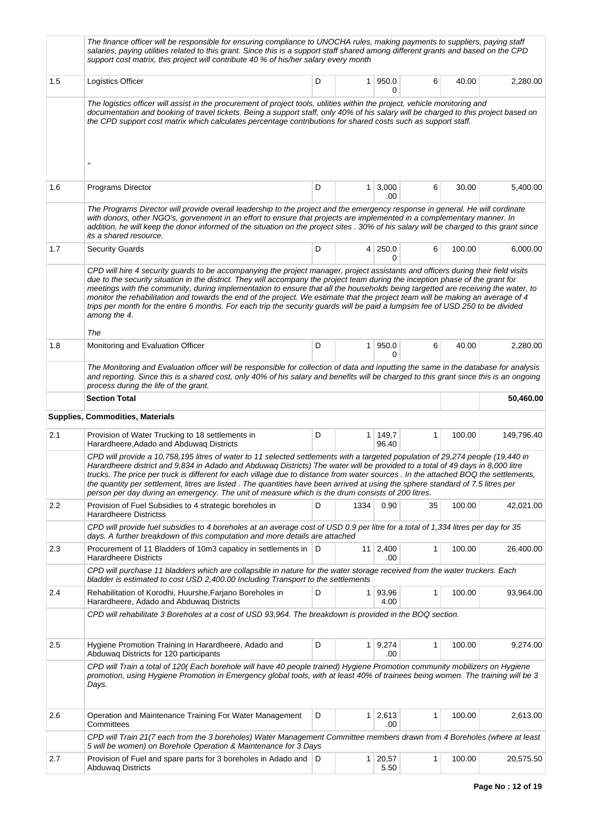|     | The finance officer will be responsible for ensuring compliance to UNOCHA rules, making payments to suppliers, paying staff<br>salaries, paying utilities related to this grant. Since this is a support staff shared among different grants and based on the CPD<br>support cost matrix, this project will contribute 40 % of his/her salary every month                                                                                                                                                                                                                                                                                                                                            |   |                |                        |              |        |            |
|-----|------------------------------------------------------------------------------------------------------------------------------------------------------------------------------------------------------------------------------------------------------------------------------------------------------------------------------------------------------------------------------------------------------------------------------------------------------------------------------------------------------------------------------------------------------------------------------------------------------------------------------------------------------------------------------------------------------|---|----------------|------------------------|--------------|--------|------------|
| 1.5 | Logistics Officer                                                                                                                                                                                                                                                                                                                                                                                                                                                                                                                                                                                                                                                                                    | D |                | 1   950.0<br>0         | 6            | 40.00  | 2,280.00   |
|     | The logistics officer will assist in the procurement of project tools, utilities within the project, vehicle monitoring and<br>documentation and booking of travel tickets. Being a support staff, only 40% of his salary will be charged to this project based on<br>the CPD support cost matrix which calculates percentage contributions for shared costs such as support staff.<br>$^{\prime\prime}$                                                                                                                                                                                                                                                                                             |   |                |                        |              |        |            |
|     |                                                                                                                                                                                                                                                                                                                                                                                                                                                                                                                                                                                                                                                                                                      |   |                |                        |              |        |            |
| 1.6 | Programs Director                                                                                                                                                                                                                                                                                                                                                                                                                                                                                                                                                                                                                                                                                    | D |                | $1 \, 3,000$<br>.00    | 6            | 30.00  | 5,400.00   |
|     | The Programs Director will provide overall leadership to the project and the emergency response in general. He will cordinate<br>with donors, other NGO's, gorvenment in an effort to ensure that projects are implemented in a complementary manner. In<br>addition, he will keep the donor informed of the situation on the project sites . 30% of his salary will be charged to this grant since<br>its a shared resource.                                                                                                                                                                                                                                                                        |   |                |                        |              |        |            |
| 1.7 | <b>Security Guards</b>                                                                                                                                                                                                                                                                                                                                                                                                                                                                                                                                                                                                                                                                               | D |                | 4 250.0<br>0           | 6            | 100.00 | 6,000.00   |
|     | CPD will hire 4 security guards to be accompanying the project manager, project assistants and officers during their field visits<br>due to the security situation in the district. They will accompany the project team during the inception phase of the grant for<br>meetings with the community, during implementation to ensure that all the households being targetted are receiving the water, to<br>monitor the rehabilitation and towards the end of the project. We estimate that the project team will be making an average of 4<br>trips per month for the entire 6 months. For each trip the security guards will be paid a lumpsim fee of USD 250 to be divided<br>among the 4.<br>The |   |                |                        |              |        |            |
| 1.8 | Monitoring and Evaluation Officer                                                                                                                                                                                                                                                                                                                                                                                                                                                                                                                                                                                                                                                                    | D | 1 <sup>1</sup> | 950.0<br>$\Omega$      | 6            | 40.00  | 2,280.00   |
|     | The Monitoring and Evaluation officer will be responsible for collection of data and inputting the same in the database for analysis<br>and reporting. Since this is a shared cost, only 40% of his salary and benefits will be charged to this grant since this is an ongoing<br>process during the life of the grant.                                                                                                                                                                                                                                                                                                                                                                              |   |                |                        |              |        |            |
|     | <b>Section Total</b>                                                                                                                                                                                                                                                                                                                                                                                                                                                                                                                                                                                                                                                                                 |   |                |                        |              |        | 50,460.00  |
|     | <b>Supplies, Commodities, Materials</b>                                                                                                                                                                                                                                                                                                                                                                                                                                                                                                                                                                                                                                                              |   |                |                        |              |        |            |
| 2.1 | Provision of Water Trucking to 18 settlements in<br>Harardheere, Adado and Abduwag Districts                                                                                                                                                                                                                                                                                                                                                                                                                                                                                                                                                                                                         | D |                | 1 149,7<br>96.40       | 1            | 100.00 | 149,796.40 |
|     | CPD will provide a 10,758,195 litres of water to 11 selected settlements with a targeted population of 29,274 people (19,440 in<br>Harardheere district and 9,834 in Adado and Abduwaq Districts) The water will be provided to a total of 49 days in 8,000 litre<br>trucks. The price per truck is different for each village due to distance from water sources . In the attached BOQ the settlements,<br>the quantity per settlement, litres are listed. The quantities have been arrived at using the sphere standard of 7.5 litres per<br>person per day during an emergency. The unit of measure which is the drum consists of 200 litres.                                                     |   |                |                        |              |        |            |
| 2.2 | Provision of Fuel Subsidies to 4 strategic boreholes in<br><b>Harardheere Districtss</b>                                                                                                                                                                                                                                                                                                                                                                                                                                                                                                                                                                                                             | D | 1334           | 0.90                   | 35           | 100.00 | 42,021.00  |
|     | CPD will provide fuel subsidies to 4 boreholes at an average cost of USD 0.9 per litre for a total of 1,334 litres per day for 35<br>days. A further breakdown of this computation and more details are attached                                                                                                                                                                                                                                                                                                                                                                                                                                                                                     |   |                |                        |              |        |            |
| 2.3 | Procurement of 11 Bladders of 10m3 capaticy in settlements in D<br><b>Harardheere Districts</b>                                                                                                                                                                                                                                                                                                                                                                                                                                                                                                                                                                                                      |   |                | $11 \mid 2,400$<br>.00 | $\mathbf{1}$ | 100.00 | 26,400.00  |
|     | CPD will purchase 11 bladders which are collapsible in nature for the water storage received from the water truckers. Each<br>bladder is estimated to cost USD 2,400.00 Including Transport to the settlements                                                                                                                                                                                                                                                                                                                                                                                                                                                                                       |   |                |                        |              |        |            |
| 2.4 | Rehabilitation of Korodhi, Huurshe, Farjano Boreholes in<br>Harardheere, Adado and Abduwag Districts                                                                                                                                                                                                                                                                                                                                                                                                                                                                                                                                                                                                 | D | 1 <sup>1</sup> | 93,96<br>4.00          | $\mathbf{1}$ | 100.00 | 93,964.00  |
|     | CPD will rehabilitate 3 Boreholes at a cost of USD 93,964. The breakdown is provided in the BOQ section.                                                                                                                                                                                                                                                                                                                                                                                                                                                                                                                                                                                             |   |                |                        |              |        |            |
| 2.5 | Hygiene Promotion Training in Harardheere, Adado and<br>Abduwaq Districts for 120 participants                                                                                                                                                                                                                                                                                                                                                                                                                                                                                                                                                                                                       | D |                | $1 \ 9,274$<br>.00     | 1            | 100.00 | 9,274.00   |
|     | CPD will Train a total of 120(Each borehole will have 40 people trained) Hygiene Promotion community mobilizers on Hygiene<br>promotion, using Hygiene Promotion in Emergency global tools, with at least 40% of trainees being women. The training will be 3<br>Days.                                                                                                                                                                                                                                                                                                                                                                                                                               |   |                |                        |              |        |            |
| 2.6 | Operation and Maintenance Training For Water Management<br>Committees                                                                                                                                                                                                                                                                                                                                                                                                                                                                                                                                                                                                                                | D |                | $1 \mid 2,613$<br>.00  | 1            | 100.00 | 2,613.00   |
|     | CPD will Train 21(7 each from the 3 boreholes) Water Management Committee members drawn from 4 Boreholes (where at least<br>5 will be women) on Borehole Operation & Maintenance for 3 Days                                                                                                                                                                                                                                                                                                                                                                                                                                                                                                          |   |                |                        |              |        |            |
| 2.7 | Provision of Fuel and spare parts for 3 boreholes in Adado and D<br><b>Abduwaq Districts</b>                                                                                                                                                                                                                                                                                                                                                                                                                                                                                                                                                                                                         |   |                | $1 \ 20,57$<br>5.50    | 1            | 100.00 | 20,575.50  |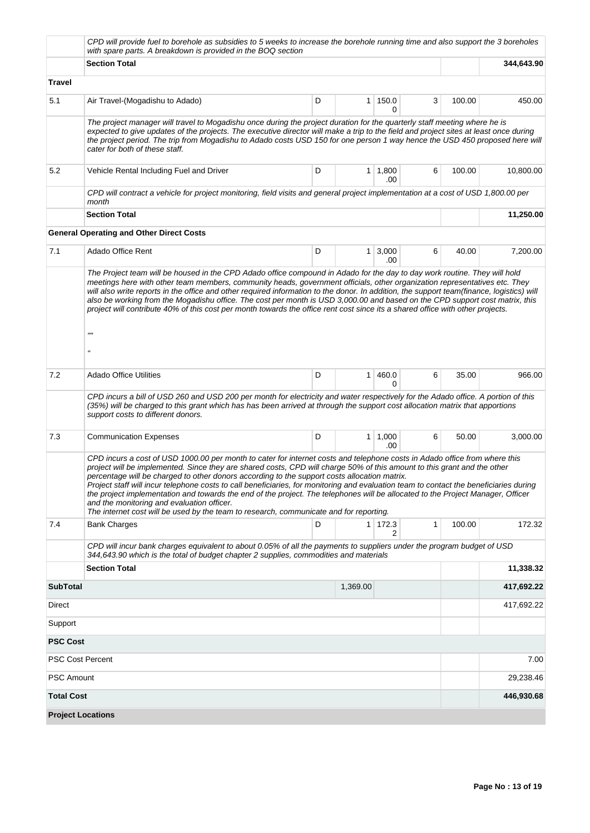|                   | CPD will provide fuel to borehole as subsidies to 5 weeks to increase the borehole running time and also support the 3 boreholes<br>with spare parts. A breakdown is provided in the BOQ section                                                                                                                                                                                                                                                                                                                                                                                                                                                                                                                                                                            |            |              |                       |   |        |            |  |  |  |
|-------------------|-----------------------------------------------------------------------------------------------------------------------------------------------------------------------------------------------------------------------------------------------------------------------------------------------------------------------------------------------------------------------------------------------------------------------------------------------------------------------------------------------------------------------------------------------------------------------------------------------------------------------------------------------------------------------------------------------------------------------------------------------------------------------------|------------|--------------|-----------------------|---|--------|------------|--|--|--|
|                   | <b>Section Total</b>                                                                                                                                                                                                                                                                                                                                                                                                                                                                                                                                                                                                                                                                                                                                                        |            |              |                       |   |        | 344,643.90 |  |  |  |
| Travel            |                                                                                                                                                                                                                                                                                                                                                                                                                                                                                                                                                                                                                                                                                                                                                                             |            |              |                       |   |        |            |  |  |  |
| 5.1               | Air Travel-(Mogadishu to Adado)                                                                                                                                                                                                                                                                                                                                                                                                                                                                                                                                                                                                                                                                                                                                             | D          | 1            | 150.0<br>$\Omega$     | 3 | 100.00 | 450.00     |  |  |  |
|                   | The project manager will travel to Mogadishu once during the project duration for the quarterly staff meeting where he is<br>expected to give updates of the projects. The executive director will make a trip to the field and project sites at least once during<br>the project period. The trip from Mogadishu to Adado costs USD 150 for one person 1 way hence the USD 450 proposed here will<br>cater for both of these staff.                                                                                                                                                                                                                                                                                                                                        |            |              |                       |   |        |            |  |  |  |
| 5.2               | Vehicle Rental Including Fuel and Driver                                                                                                                                                                                                                                                                                                                                                                                                                                                                                                                                                                                                                                                                                                                                    | D          |              | $1 \mid 1,800$<br>.00 | 6 | 100.00 | 10,800.00  |  |  |  |
|                   | CPD will contract a vehicle for project monitoring, field visits and general project implementation at a cost of USD 1,800.00 per<br>month                                                                                                                                                                                                                                                                                                                                                                                                                                                                                                                                                                                                                                  |            |              |                       |   |        |            |  |  |  |
|                   | <b>Section Total</b>                                                                                                                                                                                                                                                                                                                                                                                                                                                                                                                                                                                                                                                                                                                                                        |            |              |                       |   |        | 11,250.00  |  |  |  |
|                   | <b>General Operating and Other Direct Costs</b>                                                                                                                                                                                                                                                                                                                                                                                                                                                                                                                                                                                                                                                                                                                             |            |              |                       |   |        |            |  |  |  |
| 7.1               | Adado Office Rent                                                                                                                                                                                                                                                                                                                                                                                                                                                                                                                                                                                                                                                                                                                                                           | D          | $\mathbf{1}$ | 3,000<br>.00          | 6 | 40.00  | 7,200.00   |  |  |  |
|                   | will also write reports in the office and other required information to the donor. In addition, the support team(finance, logistics) will<br>also be working from the Mogadishu office. The cost per month is USD 3,000.00 and based on the CPD support cost matrix, this<br>project will contribute 40% of this cost per month towards the office rent cost since its a shared office with other projects.<br>$^{\prime\prime\prime\prime}$<br>$^{\prime}$                                                                                                                                                                                                                                                                                                                 |            |              |                       |   |        |            |  |  |  |
| 7.2               | Adado Office Utilities                                                                                                                                                                                                                                                                                                                                                                                                                                                                                                                                                                                                                                                                                                                                                      | D          | $\mathbf{1}$ | 460.0<br>0            | 6 | 35.00  | 966.00     |  |  |  |
|                   | CPD incurs a bill of USD 260 and USD 200 per month for electricity and water respectively for the Adado office. A portion of this<br>(35%) will be charged to this grant which has has been arrived at through the support cost allocation matrix that apportions<br>support costs to different donors.                                                                                                                                                                                                                                                                                                                                                                                                                                                                     |            |              |                       |   |        |            |  |  |  |
| 7.3               | <b>Communication Expenses</b>                                                                                                                                                                                                                                                                                                                                                                                                                                                                                                                                                                                                                                                                                                                                               | D          | 1            | 1,000<br>.00          | 6 | 50.00  | 3,000.00   |  |  |  |
|                   | CPD incurs a cost of USD 1000.00 per month to cater for internet costs and telephone costs in Adado office from where this<br>project will be implemented. Since they are shared costs, CPD will charge 50% of this amount to this grant and the other<br>percentage will be charged to other donors according to the support costs allocation matrix.<br>Project staff will incur telephone costs to call beneficiaries, for monitoring and evaluation team to contact the beneficiaries during<br>the project implementation and towards the end of the project. The telephones will be allocated to the Project Manager, Officer<br>and the monitoring and evaluation officer.<br>The internet cost will be used by the team to research, communicate and for reporting. |            |              |                       |   |        |            |  |  |  |
| 7.4               | <b>Bank Charges</b>                                                                                                                                                                                                                                                                                                                                                                                                                                                                                                                                                                                                                                                                                                                                                         | D          |              | 1 172.3<br>2          | 1 | 100.00 | 172.32     |  |  |  |
|                   | CPD will incur bank charges equivalent to about 0.05% of all the payments to suppliers under the program budget of USD<br>344,643.90 which is the total of budget chapter 2 supplies, commodities and materials                                                                                                                                                                                                                                                                                                                                                                                                                                                                                                                                                             |            |              |                       |   |        |            |  |  |  |
|                   | <b>Section Total</b>                                                                                                                                                                                                                                                                                                                                                                                                                                                                                                                                                                                                                                                                                                                                                        |            |              |                       |   |        | 11,338.32  |  |  |  |
| <b>SubTotal</b>   |                                                                                                                                                                                                                                                                                                                                                                                                                                                                                                                                                                                                                                                                                                                                                                             |            | 1,369.00     |                       |   |        | 417,692.22 |  |  |  |
| Direct            |                                                                                                                                                                                                                                                                                                                                                                                                                                                                                                                                                                                                                                                                                                                                                                             | 417,692.22 |              |                       |   |        |            |  |  |  |
| Support           |                                                                                                                                                                                                                                                                                                                                                                                                                                                                                                                                                                                                                                                                                                                                                                             |            |              |                       |   |        |            |  |  |  |
| <b>PSC Cost</b>   |                                                                                                                                                                                                                                                                                                                                                                                                                                                                                                                                                                                                                                                                                                                                                                             |            |              |                       |   |        |            |  |  |  |
|                   | <b>PSC Cost Percent</b>                                                                                                                                                                                                                                                                                                                                                                                                                                                                                                                                                                                                                                                                                                                                                     |            |              |                       |   |        | 7.00       |  |  |  |
| <b>PSC Amount</b> |                                                                                                                                                                                                                                                                                                                                                                                                                                                                                                                                                                                                                                                                                                                                                                             |            |              |                       |   |        | 29,238.46  |  |  |  |
| <b>Total Cost</b> |                                                                                                                                                                                                                                                                                                                                                                                                                                                                                                                                                                                                                                                                                                                                                                             |            |              |                       |   |        | 446,930.68 |  |  |  |
|                   | <b>Project Locations</b>                                                                                                                                                                                                                                                                                                                                                                                                                                                                                                                                                                                                                                                                                                                                                    |            |              |                       |   |        |            |  |  |  |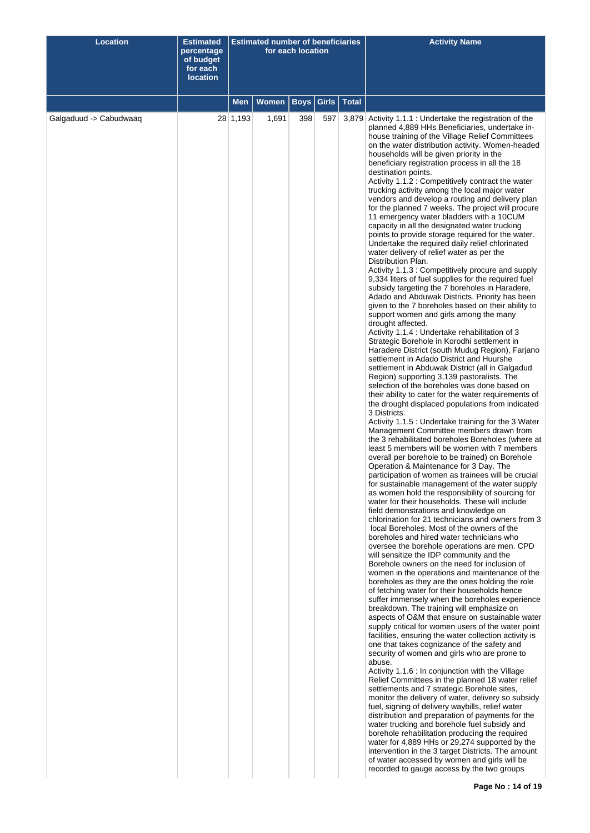| <b>Location</b>        | <b>Estimated</b><br>percentage<br>of budget<br>for each<br><b>location</b> | <b>Estimated number of beneficiaries</b><br>for each location |       |             |       |              | <b>Activity Name</b>                                                                                                                                                                                                                                                                                                                                                                                                                                                                                                                                                                                                                                                                                                                                                                                                                                                                                                                                                                                                                                                                                                                                                                                                                                                                                                                                                                                                                                                                                                                                                                                                                                                                                                                                                                                                                                                                                                                                                                                                                                                                                                                                                                                                                                                                                                                                                                                                                                                                                                                                                                                                                                                                                                                                                                                                                                                                                                                                                                                                                                                                                                                                                                                                                                                                                                                                                                                                                                                                                                                                                                                                                                              |
|------------------------|----------------------------------------------------------------------------|---------------------------------------------------------------|-------|-------------|-------|--------------|-------------------------------------------------------------------------------------------------------------------------------------------------------------------------------------------------------------------------------------------------------------------------------------------------------------------------------------------------------------------------------------------------------------------------------------------------------------------------------------------------------------------------------------------------------------------------------------------------------------------------------------------------------------------------------------------------------------------------------------------------------------------------------------------------------------------------------------------------------------------------------------------------------------------------------------------------------------------------------------------------------------------------------------------------------------------------------------------------------------------------------------------------------------------------------------------------------------------------------------------------------------------------------------------------------------------------------------------------------------------------------------------------------------------------------------------------------------------------------------------------------------------------------------------------------------------------------------------------------------------------------------------------------------------------------------------------------------------------------------------------------------------------------------------------------------------------------------------------------------------------------------------------------------------------------------------------------------------------------------------------------------------------------------------------------------------------------------------------------------------------------------------------------------------------------------------------------------------------------------------------------------------------------------------------------------------------------------------------------------------------------------------------------------------------------------------------------------------------------------------------------------------------------------------------------------------------------------------------------------------------------------------------------------------------------------------------------------------------------------------------------------------------------------------------------------------------------------------------------------------------------------------------------------------------------------------------------------------------------------------------------------------------------------------------------------------------------------------------------------------------------------------------------------------------------------------------------------------------------------------------------------------------------------------------------------------------------------------------------------------------------------------------------------------------------------------------------------------------------------------------------------------------------------------------------------------------------------------------------------------------------------------------------------------|
|                        |                                                                            | Men                                                           | Women | <b>Boys</b> | Girls | <b>Total</b> |                                                                                                                                                                                                                                                                                                                                                                                                                                                                                                                                                                                                                                                                                                                                                                                                                                                                                                                                                                                                                                                                                                                                                                                                                                                                                                                                                                                                                                                                                                                                                                                                                                                                                                                                                                                                                                                                                                                                                                                                                                                                                                                                                                                                                                                                                                                                                                                                                                                                                                                                                                                                                                                                                                                                                                                                                                                                                                                                                                                                                                                                                                                                                                                                                                                                                                                                                                                                                                                                                                                                                                                                                                                                   |
| Galgaduud -> Cabudwaaq |                                                                            | 28 1,193                                                      | 1,691 | 398         | 597   |              | 3,879 Activity 1.1.1 : Undertake the registration of the<br>planned 4,889 HHs Beneficiaries, undertake in-<br>house training of the Village Relief Committees<br>on the water distribution activity. Women-headed<br>households will be given priority in the<br>beneficiary registration process in all the 18<br>destination points.<br>Activity 1.1.2 : Competitively contract the water<br>trucking activity among the local major water<br>vendors and develop a routing and delivery plan<br>for the planned 7 weeks. The project will procure<br>11 emergency water bladders with a 10CUM<br>capacity in all the designated water trucking<br>points to provide storage required for the water.<br>Undertake the required daily relief chlorinated<br>water delivery of relief water as per the<br>Distribution Plan.<br>Activity 1.1.3 : Competitively procure and supply<br>9,334 liters of fuel supplies for the required fuel<br>subsidy targeting the 7 boreholes in Haradere,<br>Adado and Abduwak Districts. Priority has been<br>given to the 7 boreholes based on their ability to<br>support women and girls among the many<br>drought affected.<br>Activity 1.1.4 : Undertake rehabilitation of 3<br>Strategic Borehole in Korodhi settlement in<br>Haradere District (south Mudug Region), Farjano<br>settlement in Adado District and Huurshe<br>settlement in Abduwak District (all in Galgadud<br>Region) supporting 3,139 pastoralists. The<br>selection of the boreholes was done based on<br>their ability to cater for the water requirements of<br>the drought displaced populations from indicated<br>3 Districts.<br>Activity 1.1.5 : Undertake training for the 3 Water<br>Management Committee members drawn from<br>the 3 rehabilitated boreholes Boreholes (where at<br>least 5 members will be women with 7 members<br>overall per borehole to be trained) on Borehole<br>Operation & Maintenance for 3 Day. The<br>participation of women as trainees will be crucial<br>for sustainable management of the water supply<br>as women hold the responsibility of sourcing for<br>water for their households. These will include<br>field demonstrations and knowledge on<br>chlorination for 21 technicians and owners from 3<br>local Boreholes. Most of the owners of the<br>boreholes and hired water technicians who<br>oversee the borehole operations are men. CPD<br>will sensitize the IDP community and the<br>Borehole owners on the need for inclusion of<br>women in the operations and maintenance of the<br>boreholes as they are the ones holding the role<br>of fetching water for their households hence<br>suffer immensely when the boreholes experience<br>breakdown. The training will emphasize on<br>aspects of O&M that ensure on sustainable water<br>supply critical for women users of the water point<br>facilities, ensuring the water collection activity is<br>one that takes cognizance of the safety and<br>security of women and girls who are prone to<br>abuse.<br>Activity 1.1.6 : In conjunction with the Village<br>Relief Committees in the planned 18 water relief<br>settlements and 7 strategic Borehole sites,<br>monitor the delivery of water, delivery so subsidy<br>fuel, signing of delivery waybills, relief water<br>distribution and preparation of payments for the<br>water trucking and borehole fuel subsidy and<br>borehole rehabilitation producing the required<br>water for 4,889 HHs or 29,274 supported by the<br>intervention in the 3 target Districts. The amount<br>of water accessed by women and girls will be<br>recorded to gauge access by the two groups |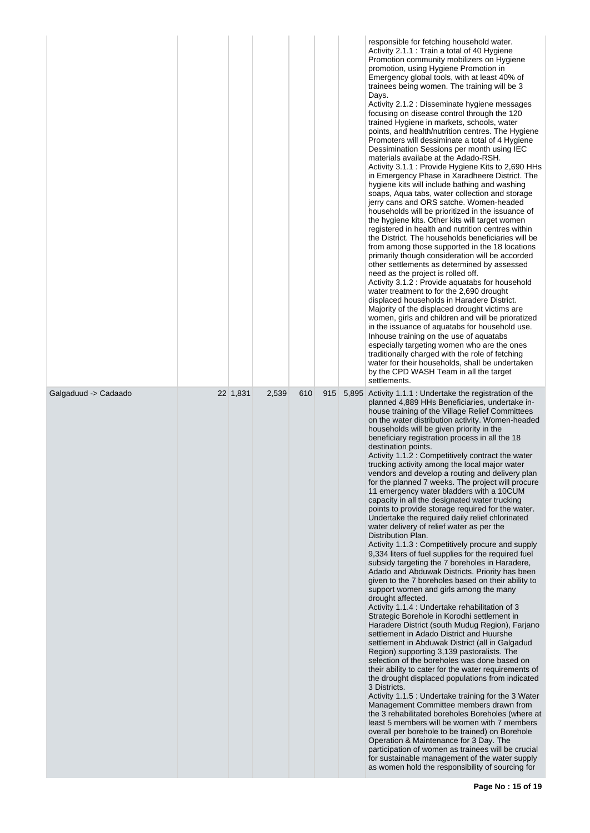|                      |          |       |     |     | responsible for fetching household water.<br>Activity 2.1.1 : Train a total of 40 Hygiene<br>Promotion community mobilizers on Hygiene<br>promotion, using Hygiene Promotion in<br>Emergency global tools, with at least 40% of<br>trainees being women. The training will be 3<br>Days.<br>Activity 2.1.2 : Disseminate hygiene messages<br>focusing on disease control through the 120<br>trained Hygiene in markets, schools, water<br>points, and health/nutrition centres. The Hygiene<br>Promoters will dessiminate a total of 4 Hygiene<br>Dessimination Sessions per month using IEC<br>materials availabe at the Adado-RSH.<br>Activity 3.1.1 : Provide Hygiene Kits to 2,690 HHs<br>in Emergency Phase in Xaradheere District. The<br>hygiene kits will include bathing and washing<br>soaps, Aqua tabs, water collection and storage<br>jerry cans and ORS satche. Women-headed<br>households will be prioritized in the issuance of<br>the hygiene kits. Other kits will target women<br>registered in health and nutrition centres within<br>the District. The households beneficiaries will be<br>from among those supported in the 18 locations<br>primarily though consideration will be accorded<br>other settlements as determined by assessed<br>need as the project is rolled off.<br>Activity 3.1.2 : Provide aquatabs for household<br>water treatment to for the 2,690 drought<br>displaced households in Haradere District.<br>Majority of the displaced drought victims are<br>women, girls and children and will be prioratized<br>in the issuance of aquatabs for household use.<br>Inhouse training on the use of aquatabs<br>especially targeting women who are the ones<br>traditionally charged with the role of fetching<br>water for their households, shall be undertaken<br>by the CPD WASH Team in all the target<br>settlements.                                                                                                                                                                                                                                          |
|----------------------|----------|-------|-----|-----|----------------------------------------------------------------------------------------------------------------------------------------------------------------------------------------------------------------------------------------------------------------------------------------------------------------------------------------------------------------------------------------------------------------------------------------------------------------------------------------------------------------------------------------------------------------------------------------------------------------------------------------------------------------------------------------------------------------------------------------------------------------------------------------------------------------------------------------------------------------------------------------------------------------------------------------------------------------------------------------------------------------------------------------------------------------------------------------------------------------------------------------------------------------------------------------------------------------------------------------------------------------------------------------------------------------------------------------------------------------------------------------------------------------------------------------------------------------------------------------------------------------------------------------------------------------------------------------------------------------------------------------------------------------------------------------------------------------------------------------------------------------------------------------------------------------------------------------------------------------------------------------------------------------------------------------------------------------------------------------------------------------------------------------------------------------------------------------------------------------|
| Galgaduud -> Cadaado | 22 1,831 | 2,539 | 610 | 915 | 5,895 Activity 1.1.1 : Undertake the registration of the<br>planned 4,889 HHs Beneficiaries, undertake in-<br>house training of the Village Relief Committees<br>on the water distribution activity. Women-headed<br>households will be given priority in the<br>beneficiary registration process in all the 18<br>destination points.<br>Activity 1.1.2 : Competitively contract the water<br>trucking activity among the local major water<br>vendors and develop a routing and delivery plan<br>for the planned 7 weeks. The project will procure<br>11 emergency water bladders with a 10CUM<br>capacity in all the designated water trucking<br>points to provide storage required for the water.<br>Undertake the required daily relief chlorinated<br>water delivery of relief water as per the<br>Distribution Plan.<br>Activity 1.1.3 : Competitively procure and supply<br>9,334 liters of fuel supplies for the required fuel<br>subsidy targeting the 7 boreholes in Haradere,<br>Adado and Abduwak Districts. Priority has been<br>given to the 7 boreholes based on their ability to<br>support women and girls among the many<br>drought affected.<br>Activity 1.1.4 : Undertake rehabilitation of 3<br>Strategic Borehole in Korodhi settlement in<br>Haradere District (south Mudug Region), Farjano<br>settlement in Adado District and Huurshe<br>settlement in Abduwak District (all in Galgadud<br>Region) supporting 3,139 pastoralists. The<br>selection of the boreholes was done based on<br>their ability to cater for the water requirements of<br>the drought displaced populations from indicated<br>3 Districts.<br>Activity 1.1.5 : Undertake training for the 3 Water<br>Management Committee members drawn from<br>the 3 rehabilitated boreholes Boreholes (where at<br>least 5 members will be women with 7 members<br>overall per borehole to be trained) on Borehole<br>Operation & Maintenance for 3 Day. The<br>participation of women as trainees will be crucial<br>for sustainable management of the water supply<br>as women hold the responsibility of sourcing for |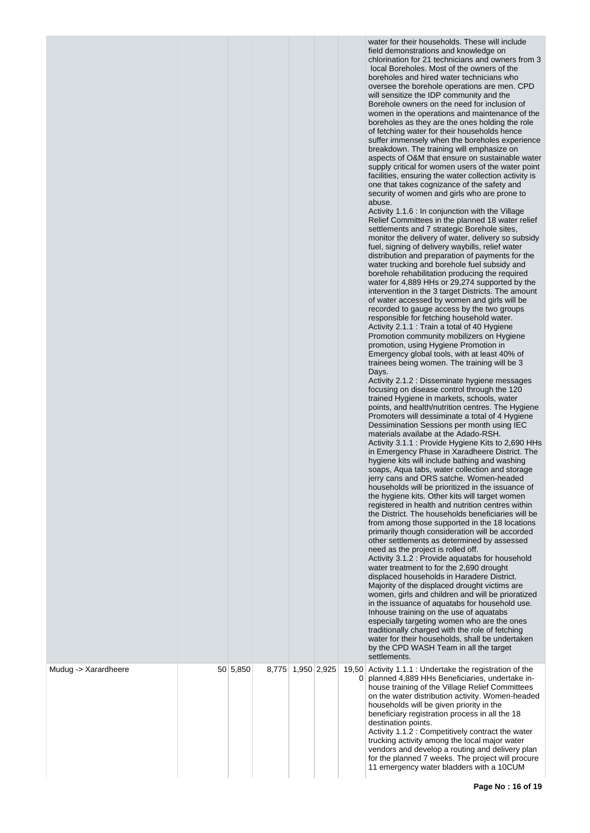| Mudug -> Xarardheere | 50 5,850 | 8,775 1,950 2,925 |   | water for their households. These will include<br>field demonstrations and knowledge on<br>chlorination for 21 technicians and owners from 3<br>local Boreholes. Most of the owners of the<br>boreholes and hired water technicians who<br>oversee the borehole operations are men. CPD<br>will sensitize the IDP community and the<br>Borehole owners on the need for inclusion of<br>women in the operations and maintenance of the<br>boreholes as they are the ones holding the role<br>of fetching water for their households hence<br>suffer immensely when the boreholes experience<br>breakdown. The training will emphasize on<br>aspects of O&M that ensure on sustainable water<br>supply critical for women users of the water point<br>facilities, ensuring the water collection activity is<br>one that takes cognizance of the safety and<br>security of women and girls who are prone to<br>abuse.<br>Activity 1.1.6 : In conjunction with the Village<br>Relief Committees in the planned 18 water relief<br>settlements and 7 strategic Borehole sites,<br>monitor the delivery of water, delivery so subsidy<br>fuel, signing of delivery waybills, relief water<br>distribution and preparation of payments for the<br>water trucking and borehole fuel subsidy and<br>borehole rehabilitation producing the required<br>water for 4,889 HHs or 29,274 supported by the<br>intervention in the 3 target Districts. The amount<br>of water accessed by women and girls will be<br>recorded to gauge access by the two groups<br>responsible for fetching household water.<br>Activity 2.1.1 : Train a total of 40 Hygiene<br>Promotion community mobilizers on Hygiene<br>promotion, using Hygiene Promotion in<br>Emergency global tools, with at least 40% of<br>trainees being women. The training will be 3<br>Days.<br>Activity 2.1.2 : Disseminate hygiene messages<br>focusing on disease control through the 120<br>trained Hygiene in markets, schools, water<br>points, and health/nutrition centres. The Hygiene<br>Promoters will dessiminate a total of 4 Hygiene<br>Dessimination Sessions per month using IEC<br>materials availabe at the Adado-RSH.<br>Activity 3.1.1 : Provide Hygiene Kits to 2,690 HHs<br>in Emergency Phase in Xaradheere District. The<br>hygiene kits will include bathing and washing<br>soaps, Aqua tabs, water collection and storage<br>jerry cans and ORS satche. Women-headed<br>households will be prioritized in the issuance of<br>the hygiene kits. Other kits will target women<br>registered in health and nutrition centres within<br>the District. The households beneficiaries will be<br>from among those supported in the 18 locations<br>primarily though consideration will be accorded<br>other settlements as determined by assessed<br>need as the project is rolled off.<br>Activity 3.1.2 : Provide aquatabs for household<br>water treatment to for the 2,690 drought<br>displaced households in Haradere District.<br>Majority of the displaced drought victims are<br>women, girls and children and will be prioratized<br>in the issuance of aquatabs for household use.<br>Inhouse training on the use of aquatabs<br>especially targeting women who are the ones<br>traditionally charged with the role of fetching<br>water for their households, shall be undertaken<br>by the CPD WASH Team in all the target<br>settlements.<br>19,50 Activity 1.1.1 : Undertake the registration of the |
|----------------------|----------|-------------------|---|--------------------------------------------------------------------------------------------------------------------------------------------------------------------------------------------------------------------------------------------------------------------------------------------------------------------------------------------------------------------------------------------------------------------------------------------------------------------------------------------------------------------------------------------------------------------------------------------------------------------------------------------------------------------------------------------------------------------------------------------------------------------------------------------------------------------------------------------------------------------------------------------------------------------------------------------------------------------------------------------------------------------------------------------------------------------------------------------------------------------------------------------------------------------------------------------------------------------------------------------------------------------------------------------------------------------------------------------------------------------------------------------------------------------------------------------------------------------------------------------------------------------------------------------------------------------------------------------------------------------------------------------------------------------------------------------------------------------------------------------------------------------------------------------------------------------------------------------------------------------------------------------------------------------------------------------------------------------------------------------------------------------------------------------------------------------------------------------------------------------------------------------------------------------------------------------------------------------------------------------------------------------------------------------------------------------------------------------------------------------------------------------------------------------------------------------------------------------------------------------------------------------------------------------------------------------------------------------------------------------------------------------------------------------------------------------------------------------------------------------------------------------------------------------------------------------------------------------------------------------------------------------------------------------------------------------------------------------------------------------------------------------------------------------------------------------------------------------------------------------------------------------------------------------------------------------------------------------------------------------------------------------------------------------------------------------------------------------------------------------------------------------------------------------------------------------------------------------------------------|
|                      |          |                   | 0 | planned 4,889 HHs Beneficiaries, undertake in-<br>house training of the Village Relief Committees<br>on the water distribution activity. Women-headed<br>households will be given priority in the<br>beneficiary registration process in all the 18<br>destination points.<br>Activity 1.1.2 : Competitively contract the water<br>trucking activity among the local major water<br>vendors and develop a routing and delivery plan<br>for the planned 7 weeks. The project will procure<br>11 emergency water bladders with a 10CUM                                                                                                                                                                                                                                                                                                                                                                                                                                                                                                                                                                                                                                                                                                                                                                                                                                                                                                                                                                                                                                                                                                                                                                                                                                                                                                                                                                                                                                                                                                                                                                                                                                                                                                                                                                                                                                                                                                                                                                                                                                                                                                                                                                                                                                                                                                                                                                                                                                                                                                                                                                                                                                                                                                                                                                                                                                                                                                                                                 |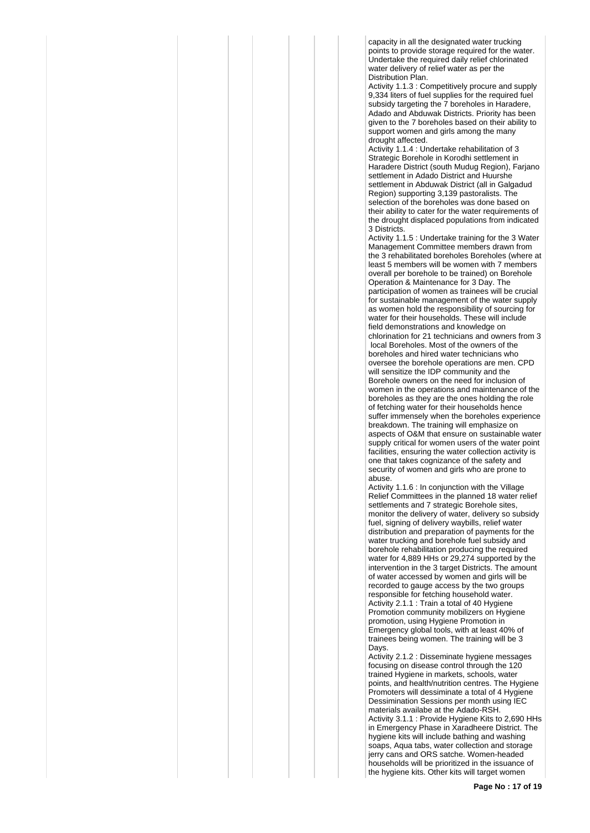capacity in all the designated water trucking points to provide storage required for the water. Undertake the required daily relief chlorinated water delivery of relief water as per the Distribution Plan.

Activity 1.1.3 : Competitively procure and supply 9.334 liters of fuel supplies for the required fuel subsidy targeting the 7 boreholes in Haradere. Adado and Abduwak Districts. Priority has been given to the 7 boreholes based on their ability to support women and girls among the many drought affected.

Activity 1.1.4 : Undertake rehabilitation of 3 Strategic Borehole in Korodhi settlement in Haradere District (south Mudug Region), Farjano settlement in Adado District and Huurshe settlement in Abduwak District (all in Galgadud Region) supporting 3,139 pastoralists. The selection of the boreholes was done based on their ability to cater for the water requirements of the drought displaced populations from indicated 3 Districts.

Activity 1.1.5 : Undertake training for the 3 Water Management Committee members drawn from the 3 rehabilitated boreholes Boreholes (where at least 5 members will be women with 7 members overall per borehole to be trained) on Borehole Operation & Maintenance for 3 Day. The participation of women as trainees will be crucial for sustainable management of the water supply as women hold the responsibility of sourcing for water for their households. These will include field demonstrations and knowledge on chlorination for 21 technicians and owners from 3 local Boreholes. Most of the owners of the boreholes and hired water technicians who oversee the borehole operations are men. CPD will sensitize the IDP community and the Borehole owners on the need for inclusion of women in the operations and maintenance of the boreholes as they are the ones holding the role of fetching water for their households hence suffer immensely when the boreholes experience breakdown. The training will emphasize on aspects of O&M that ensure on sustainable water supply critical for women users of the water point facilities, ensuring the water collection activity is one that takes cognizance of the safety and security of women and girls who are prone to abuse.

Activity 1.1.6 : In conjunction with the Village Relief Committees in the planned 18 water relief settlements and 7 strategic Borehole sites, monitor the delivery of water, delivery so subsidy fuel, signing of delivery waybills, relief water distribution and preparation of payments for the water trucking and borehole fuel subsidy and borehole rehabilitation producing the required water for 4,889 HHs or 29,274 supported by the intervention in the 3 target Districts. The amount of water accessed by women and girls will be recorded to gauge access by the two groups responsible for fetching household water. Activity 2.1.1 : Train a total of 40 Hygiene Promotion community mobilizers on Hygiene promotion, using Hygiene Promotion in Emergency global tools, with at least 40% of trainees being women. The training will be 3 Days.

Activity 2.1.2 : Disseminate hygiene messages focusing on disease control through the 120 trained Hygiene in markets, schools, water points, and health/nutrition centres. The Hygiene Promoters will dessiminate a total of 4 Hygiene Dessimination Sessions per month using IEC materials availabe at the Adado-RSH. Activity 3.1.1 : Provide Hygiene Kits to 2,690 HHs in Emergency Phase in Xaradheere District. The hygiene kits will include bathing and washing soaps, Aqua tabs, water collection and storage jerry cans and ORS satche. Women-headed households will be prioritized in the issuance of the hygiene kits. Other kits will target women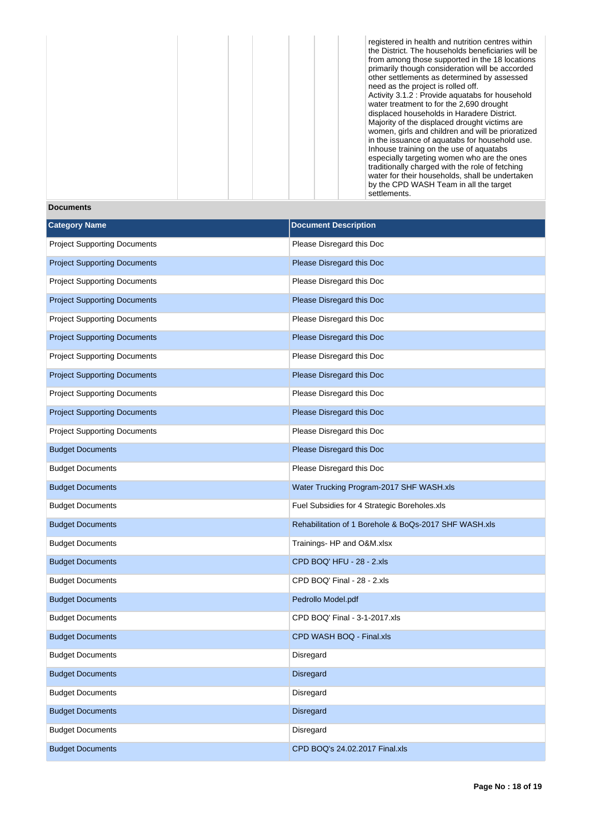registered in health and nutrition centres within the District. The households beneficiaries will be from among those supported in the 18 locations primarily though consideration will be accorded other settlements as determined by assessed need as the project is rolled off. Activity 3.1.2 : Provide aquatabs for household water treatment to for the 2,690 drought displaced households in Haradere District. Majority of the displaced drought victims are women, girls and children and will be prioratized in the issuance of aquatabs for household use. Inhouse training on the use of aquatabs especially targeting women who are the ones traditionally charged with the role of fetching water for their households, shall be undertaken by the CPD WASH Team in all the target settlements.

**Documents**

| <b>Category Name</b>                | <b>Document Description</b>                           |
|-------------------------------------|-------------------------------------------------------|
| <b>Project Supporting Documents</b> | Please Disregard this Doc                             |
| <b>Project Supporting Documents</b> | Please Disregard this Doc                             |
| <b>Project Supporting Documents</b> | Please Disregard this Doc                             |
| <b>Project Supporting Documents</b> | Please Disregard this Doc                             |
| <b>Project Supporting Documents</b> | Please Disregard this Doc                             |
| <b>Project Supporting Documents</b> | Please Disregard this Doc                             |
| <b>Project Supporting Documents</b> | Please Disregard this Doc                             |
| <b>Project Supporting Documents</b> | Please Disregard this Doc                             |
| <b>Project Supporting Documents</b> | Please Disregard this Doc                             |
| <b>Project Supporting Documents</b> | Please Disregard this Doc                             |
| <b>Project Supporting Documents</b> | Please Disregard this Doc                             |
| <b>Budget Documents</b>             | Please Disregard this Doc                             |
| <b>Budget Documents</b>             | Please Disregard this Doc                             |
| <b>Budget Documents</b>             | Water Trucking Program-2017 SHF WASH.xls              |
| <b>Budget Documents</b>             | Fuel Subsidies for 4 Strategic Boreholes.xls          |
| <b>Budget Documents</b>             | Rehabilitation of 1 Borehole & BoQs-2017 SHF WASH.xls |
| <b>Budget Documents</b>             | Trainings- HP and O&M.xlsx                            |
| <b>Budget Documents</b>             | CPD BOQ' HFU - 28 - 2.xls                             |
| <b>Budget Documents</b>             | CPD BOQ' Final - 28 - 2.xls                           |
| <b>Budget Documents</b>             | Pedrollo Model.pdf                                    |
| <b>Budget Documents</b>             | CPD BOQ' Final - 3-1-2017.xls                         |
| <b>Budget Documents</b>             | CPD WASH BOQ - Final.xls                              |
| <b>Budget Documents</b>             | Disregard                                             |
| <b>Budget Documents</b>             | Disregard                                             |
| <b>Budget Documents</b>             | Disregard                                             |
| <b>Budget Documents</b>             | Disregard                                             |
| <b>Budget Documents</b>             | Disregard                                             |
| <b>Budget Documents</b>             | CPD BOQ's 24.02.2017 Final.xls                        |